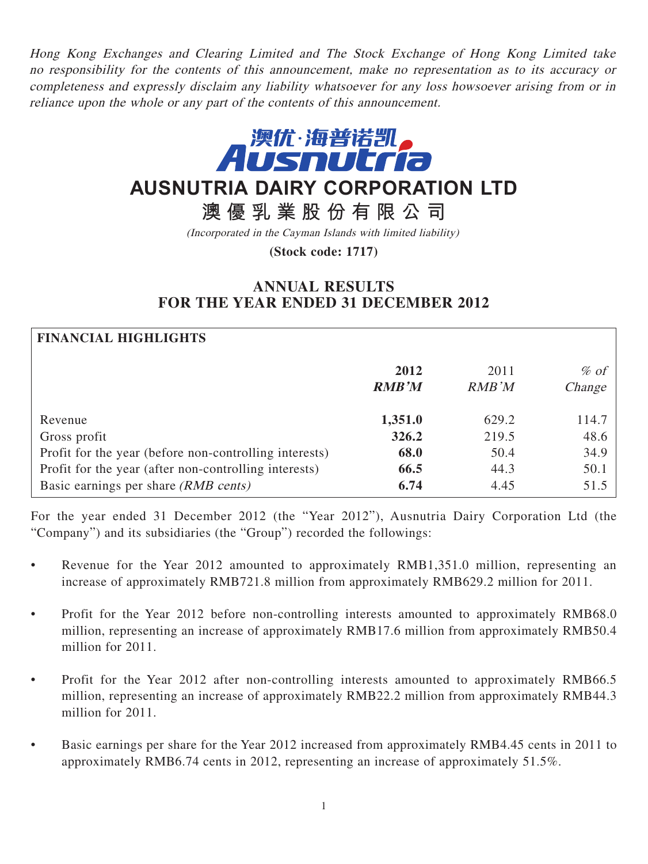Hong Kong Exchanges and Clearing Limited and The Stock Exchange of Hong Kong Limited take no responsibility for the contents of this announcement, make no representation as to its accuracy or completeness and expressly disclaim any liability whatsoever for any loss howsoever arising from or in reliance upon the whole or any part of the contents of this announcement.



# **AUSNUTRIA DAIRY CORPORATION LTD**

**澳優乳業股份有限公司**

(Incorporated in the Cayman Islands with limited liability)

**(Stock code: 1717)**

# **ANNUAL RESULTS FOR THE YEAR ENDED 31 DECEMBER 2012**

| <b>FINANCIAL HIGHLIGHTS</b>                            |                      |               |                   |
|--------------------------------------------------------|----------------------|---------------|-------------------|
|                                                        | 2012<br><b>RMB'M</b> | 2011<br>RMB'M | $\%$ of<br>Change |
| Revenue                                                | 1,351.0              | 629.2         | 114.7             |
| Gross profit                                           | 326.2                | 219.5         | 48.6              |
| Profit for the year (before non-controlling interests) | 68.0                 | 50.4          | 34.9              |
| Profit for the year (after non-controlling interests)  | 66.5                 | 44.3          | 50.1              |
| Basic earnings per share (RMB cents)                   | 6.74                 | 4.45          | 51.5              |

For the year ended 31 December 2012 (the "Year 2012"), Ausnutria Dairy Corporation Ltd (the "Company") and its subsidiaries (the "Group") recorded the followings:

- Revenue for the Year 2012 amounted to approximately RMB1,351.0 million, representing an increase of approximately RMB721.8 million from approximately RMB629.2 million for 2011.
- Profit for the Year 2012 before non-controlling interests amounted to approximately RMB68.0 million, representing an increase of approximately RMB17.6 million from approximately RMB50.4 million for 2011.
- Profit for the Year 2012 after non-controlling interests amounted to approximately RMB66.5 million, representing an increase of approximately RMB22.2 million from approximately RMB44.3 million for 2011.
- Basic earnings per share for the Year 2012 increased from approximately RMB4.45 cents in 2011 to approximately RMB6.74 cents in 2012, representing an increase of approximately 51.5%.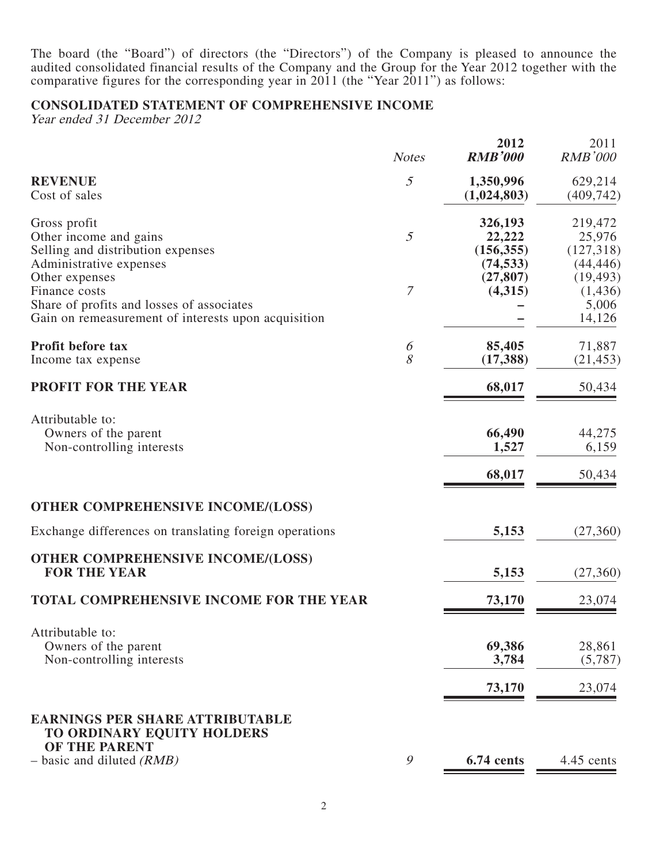The board (the "Board") of directors (the "Directors") of the Company is pleased to announce the audited consolidated financial results of the Company and the Group for the Year 2012 together with the comparative figures for the corresponding year in 2011 (the "Year 2011") as follows:

### **CONSOLIDATED STATEMENT OF COMPREHENSIVE INCOME**

Year ended 31 December 2012

|                                                                                                                                     | <b>Notes</b>   | 2012<br><b>RMB'000</b>                       | 2011<br><b>RMB'000</b>                      |
|-------------------------------------------------------------------------------------------------------------------------------------|----------------|----------------------------------------------|---------------------------------------------|
| <b>REVENUE</b><br>Cost of sales                                                                                                     | $\mathfrak{I}$ | 1,350,996<br>(1,024,803)                     | 629,214<br>(409, 742)                       |
| Gross profit<br>Other income and gains<br>Selling and distribution expenses<br>Administrative expenses                              | 5              | 326,193<br>22,222<br>(156, 355)<br>(74, 533) | 219,472<br>25,976<br>(127,318)<br>(44, 446) |
| Other expenses<br>Finance costs<br>Share of profits and losses of associates<br>Gain on remeasurement of interests upon acquisition | 7              | (27, 807)<br>(4,315)                         | (19, 493)<br>(1,436)<br>5,006<br>14,126     |
| Profit before tax<br>Income tax expense                                                                                             | 6<br>8         | 85,405<br>(17, 388)                          | 71,887<br>(21, 453)                         |
| PROFIT FOR THE YEAR                                                                                                                 |                | 68,017                                       | 50,434                                      |
| Attributable to:<br>Owners of the parent<br>Non-controlling interests                                                               |                | 66,490<br>1,527                              | 44,275<br>6,159                             |
|                                                                                                                                     |                | 68,017                                       | 50,434                                      |
| <b>OTHER COMPREHENSIVE INCOME/(LOSS)</b>                                                                                            |                |                                              |                                             |
| Exchange differences on translating foreign operations                                                                              |                | 5,153                                        | (27,360)                                    |
| <b>OTHER COMPREHENSIVE INCOME/(LOSS)</b><br><b>FOR THE YEAR</b>                                                                     |                | 5,153                                        | (27,360)                                    |
| <b>TOTAL COMPREHENSIVE INCOME FOR THE YEAR</b>                                                                                      |                | 73,170                                       | 23,074                                      |
| Attributable to:<br>Owners of the parent<br>Non-controlling interests                                                               |                | 69,386<br>3,784                              | 28,861<br>(5,787)                           |
|                                                                                                                                     |                | 73,170                                       | 23,074                                      |
| <b>EARNINGS PER SHARE ATTRIBUTABLE</b><br>TO ORDINARY EQUITY HOLDERS<br>OF THE PARENT                                               |                |                                              |                                             |
| $-$ basic and diluted (RMB)                                                                                                         | $\mathcal{G}$  | 6.74 cents                                   | 4.45 cents                                  |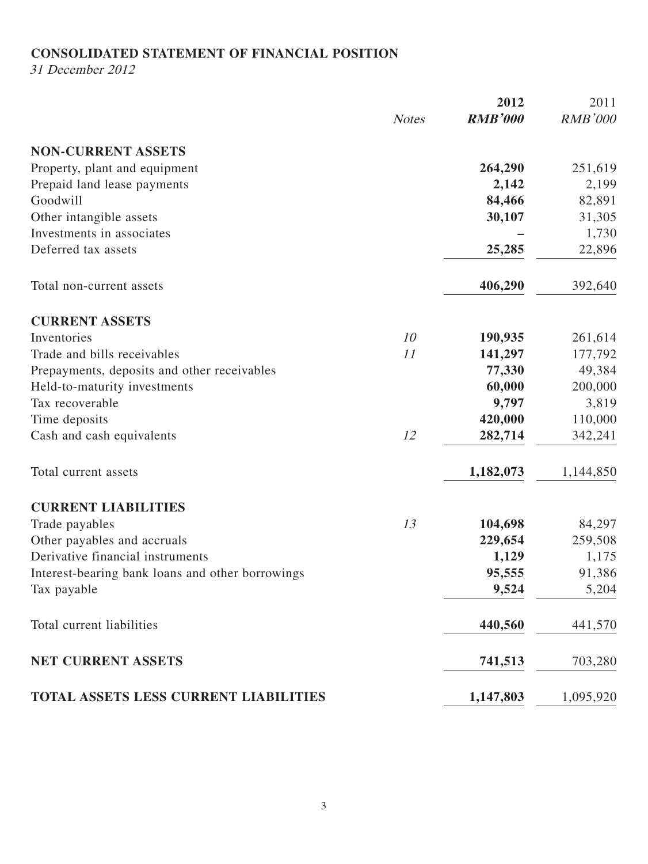### **CONSOLIDATED STATEMENT OF FINANCIAL POSITION**

31 December 2012

|                                                  |              | 2012           | 2011           |
|--------------------------------------------------|--------------|----------------|----------------|
|                                                  | <b>Notes</b> | <b>RMB'000</b> | <b>RMB'000</b> |
| <b>NON-CURRENT ASSETS</b>                        |              |                |                |
| Property, plant and equipment                    |              | 264,290        | 251,619        |
| Prepaid land lease payments                      |              | 2,142          | 2,199          |
| Goodwill                                         |              | 84,466         | 82,891         |
| Other intangible assets                          |              | 30,107         | 31,305         |
| Investments in associates                        |              |                | 1,730          |
| Deferred tax assets                              |              | 25,285         | 22,896         |
| Total non-current assets                         |              | 406,290        | 392,640        |
| <b>CURRENT ASSETS</b>                            |              |                |                |
| Inventories                                      | 10           | 190,935        | 261,614        |
| Trade and bills receivables                      | 11           | 141,297        | 177,792        |
| Prepayments, deposits and other receivables      |              | 77,330         | 49,384         |
| Held-to-maturity investments                     |              | 60,000         | 200,000        |
| Tax recoverable                                  |              | 9,797          | 3,819          |
| Time deposits                                    |              | 420,000        | 110,000        |
| Cash and cash equivalents                        | 12           | 282,714        | 342,241        |
| Total current assets                             |              | 1,182,073      | 1,144,850      |
| <b>CURRENT LIABILITIES</b>                       |              |                |                |
| Trade payables                                   | 13           | 104,698        | 84,297         |
| Other payables and accruals                      |              | 229,654        | 259,508        |
| Derivative financial instruments                 |              | 1,129          | 1,175          |
| Interest-bearing bank loans and other borrowings |              | 95,555         | 91,386         |
| Tax payable                                      |              | 9,524          | 5,204          |
| Total current liabilities                        |              | 440,560        | 441,570        |
| <b>NET CURRENT ASSETS</b>                        |              | 741,513        | 703,280        |
| TOTAL ASSETS LESS CURRENT LIABILITIES            |              | 1,147,803      | 1,095,920      |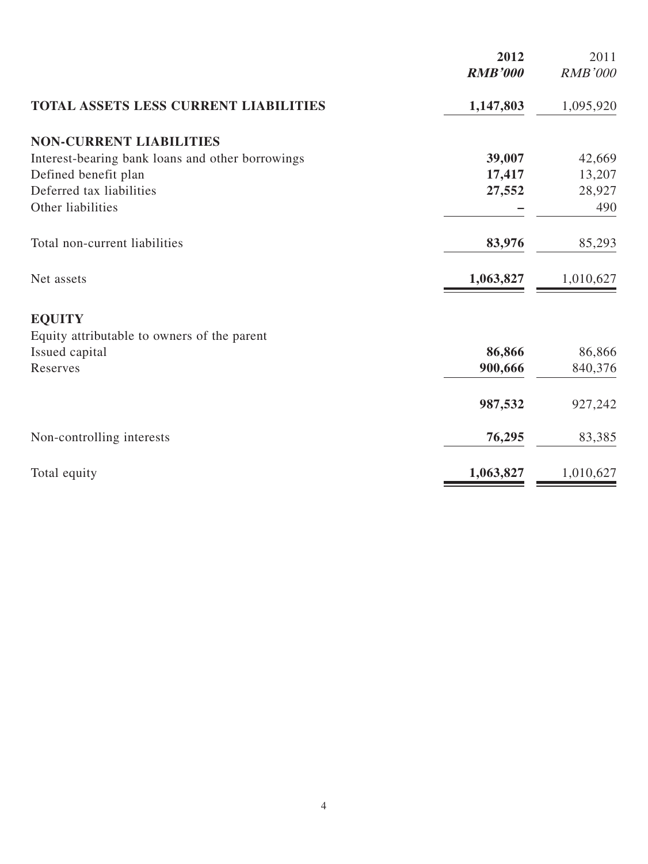|                                                  | 2012<br><b>RMB'000</b> | 2011<br><b>RMB'000</b> |
|--------------------------------------------------|------------------------|------------------------|
| <b>TOTAL ASSETS LESS CURRENT LIABILITIES</b>     | 1,147,803              | 1,095,920              |
| <b>NON-CURRENT LIABILITIES</b>                   |                        |                        |
| Interest-bearing bank loans and other borrowings | 39,007                 | 42,669                 |
| Defined benefit plan                             | 17,417                 | 13,207                 |
| Deferred tax liabilities                         | 27,552                 | 28,927                 |
| Other liabilities                                |                        | 490                    |
| Total non-current liabilities                    | 83,976                 | 85,293                 |
| Net assets                                       | 1,063,827              | 1,010,627              |
| <b>EQUITY</b>                                    |                        |                        |
| Equity attributable to owners of the parent      |                        |                        |
| Issued capital                                   | 86,866                 | 86,866                 |
| Reserves                                         | 900,666                | 840,376                |
|                                                  | 987,532                | 927,242                |
| Non-controlling interests                        | 76,295                 | 83,385                 |
| Total equity                                     | 1,063,827              | 1,010,627              |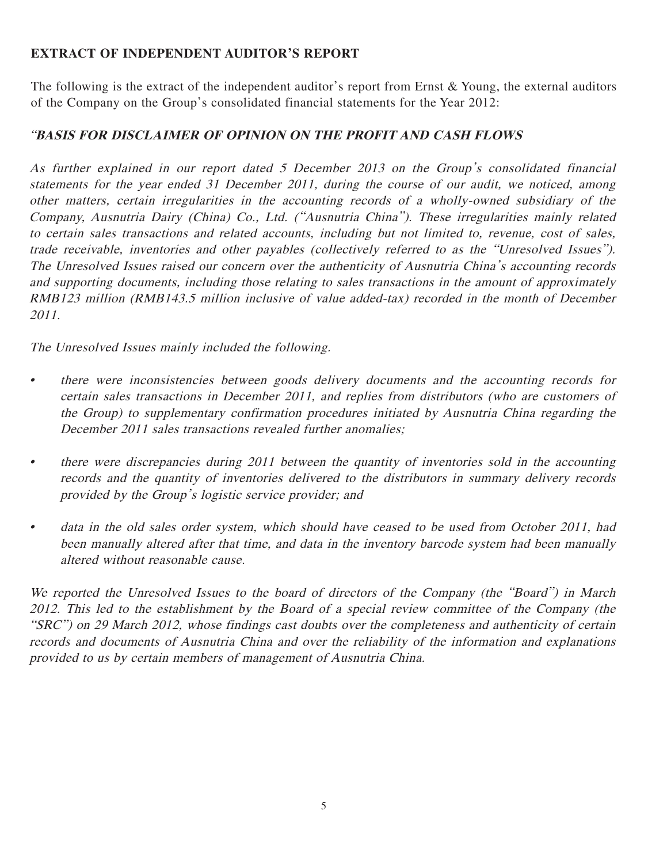# **EXTRACT OF INDEPENDENT AUDITOR'S REPORT**

The following is the extract of the independent auditor's report from Ernst & Young, the external auditors of the Company on the Group's consolidated financial statements for the Year 2012:

# "**BASIS FOR DISCLAIMER OF OPINION ON THE PROFIT AND CASH FLOWS**

As further explained in our report dated 5 December 2013 on the Group's consolidated financial statements for the year ended 31 December 2011, during the course of our audit, we noticed, among other matters, certain irregularities in the accounting records of a wholly-owned subsidiary of the Company, Ausnutria Dairy (China) Co., Ltd. ("Ausnutria China"). These irregularities mainly related to certain sales transactions and related accounts, including but not limited to, revenue, cost of sales, trade receivable, inventories and other payables (collectively referred to as the "Unresolved Issues"). The Unresolved Issues raised our concern over the authenticity of Ausnutria China's accounting records and supporting documents, including those relating to sales transactions in the amount of approximately RMB123 million (RMB143.5 million inclusive of value added-tax) recorded in the month of December 2011.

The Unresolved Issues mainly included the following.

- there were inconsistencies between goods delivery documents and the accounting records for certain sales transactions in December 2011, and replies from distributors (who are customers of the Group) to supplementary confirmation procedures initiated by Ausnutria China regarding the December 2011 sales transactions revealed further anomalies;
- there were discrepancies during 2011 between the quantity of inventories sold in the accounting records and the quantity of inventories delivered to the distributors in summary delivery records provided by the Group's logistic service provider; and
- data in the old sales order system, which should have ceased to be used from October 2011, had been manually altered after that time, and data in the inventory barcode system had been manually altered without reasonable cause.

We reported the Unresolved Issues to the board of directors of the Company (the "Board") in March 2012. This led to the establishment by the Board of a special review committee of the Company (the "SRC") on 29 March 2012, whose findings cast doubts over the completeness and authenticity of certain records and documents of Ausnutria China and over the reliability of the information and explanations provided to us by certain members of management of Ausnutria China.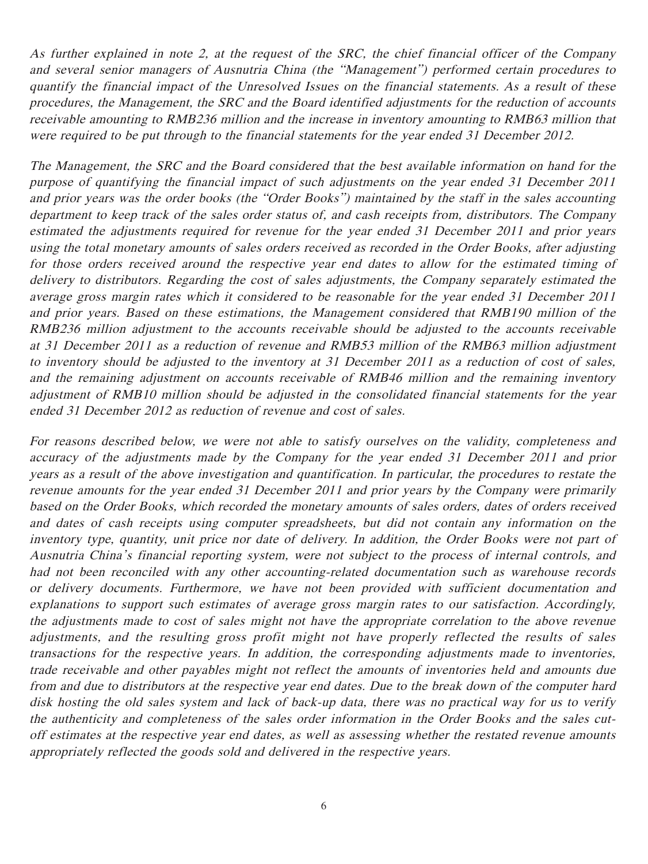As further explained in note 2, at the request of the SRC, the chief financial officer of the Company and several senior managers of Ausnutria China (the "Management") performed certain procedures to quantify the financial impact of the Unresolved Issues on the financial statements. As a result of these procedures, the Management, the SRC and the Board identified adjustments for the reduction of accounts receivable amounting to RMB236 million and the increase in inventory amounting to RMB63 million that were required to be put through to the financial statements for the year ended 31 December 2012.

The Management, the SRC and the Board considered that the best available information on hand for the purpose of quantifying the financial impact of such adjustments on the year ended 31 December 2011 and prior years was the order books (the "Order Books") maintained by the staff in the sales accounting department to keep track of the sales order status of, and cash receipts from, distributors. The Company estimated the adjustments required for revenue for the year ended 31 December 2011 and prior years using the total monetary amounts of sales orders received as recorded in the Order Books, after adjusting for those orders received around the respective year end dates to allow for the estimated timing of delivery to distributors. Regarding the cost of sales adjustments, the Company separately estimated the average gross margin rates which it considered to be reasonable for the year ended 31 December 2011 and prior years. Based on these estimations, the Management considered that RMB190 million of the RMB236 million adjustment to the accounts receivable should be adjusted to the accounts receivable at 31 December 2011 as a reduction of revenue and RMB53 million of the RMB63 million adjustment to inventory should be adjusted to the inventory at 31 December 2011 as a reduction of cost of sales, and the remaining adjustment on accounts receivable of RMB46 million and the remaining inventory adjustment of RMB10 million should be adjusted in the consolidated financial statements for the year ended 31 December 2012 as reduction of revenue and cost of sales.

For reasons described below, we were not able to satisfy ourselves on the validity, completeness and accuracy of the adjustments made by the Company for the year ended 31 December 2011 and prior years as a result of the above investigation and quantification. In particular, the procedures to restate the revenue amounts for the year ended 31 December 2011 and prior years by the Company were primarily based on the Order Books, which recorded the monetary amounts of sales orders, dates of orders received and dates of cash receipts using computer spreadsheets, but did not contain any information on the inventory type, quantity, unit price nor date of delivery. In addition, the Order Books were not part of Ausnutria China's financial reporting system, were not subject to the process of internal controls, and had not been reconciled with any other accounting-related documentation such as warehouse records or delivery documents. Furthermore, we have not been provided with sufficient documentation and explanations to support such estimates of average gross margin rates to our satisfaction. Accordingly, the adjustments made to cost of sales might not have the appropriate correlation to the above revenue adjustments, and the resulting gross profit might not have properly reflected the results of sales transactions for the respective years. In addition, the corresponding adjustments made to inventories, trade receivable and other payables might not reflect the amounts of inventories held and amounts due from and due to distributors at the respective year end dates. Due to the break down of the computer hard disk hosting the old sales system and lack of back-up data, there was no practical way for us to verify the authenticity and completeness of the sales order information in the Order Books and the sales cutoff estimates at the respective year end dates, as well as assessing whether the restated revenue amounts appropriately reflected the goods sold and delivered in the respective years.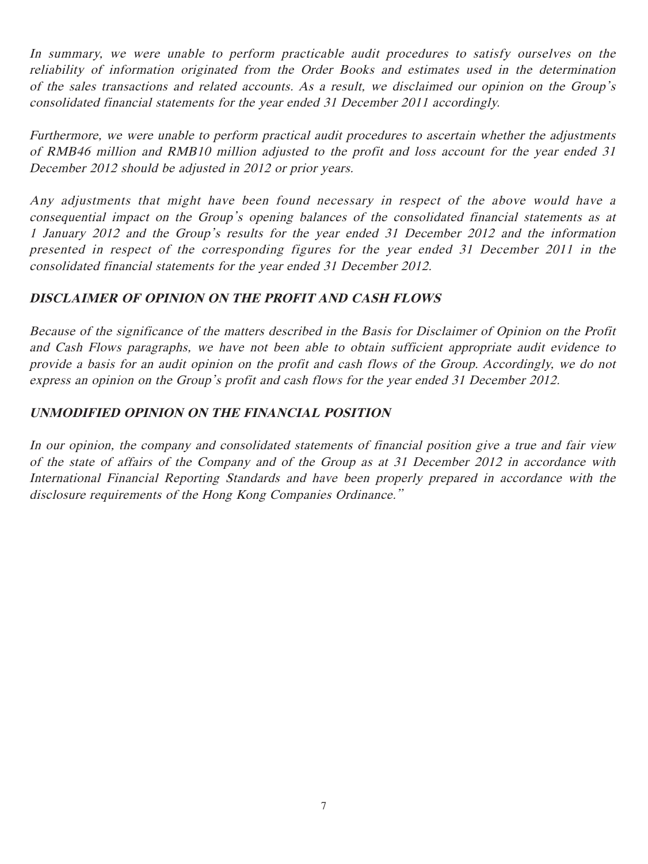In summary, we were unable to perform practicable audit procedures to satisfy ourselves on the reliability of information originated from the Order Books and estimates used in the determination of the sales transactions and related accounts. As a result, we disclaimed our opinion on the Group's consolidated financial statements for the year ended 31 December 2011 accordingly.

Furthermore, we were unable to perform practical audit procedures to ascertain whether the adjustments of RMB46 million and RMB10 million adjusted to the profit and loss account for the year ended 31 December 2012 should be adjusted in 2012 or prior years.

Any adjustments that might have been found necessary in respect of the above would have a consequential impact on the Group's opening balances of the consolidated financial statements as at 1 January 2012 and the Group's results for the year ended 31 December 2012 and the information presented in respect of the corresponding figures for the year ended 31 December 2011 in the consolidated financial statements for the year ended 31 December 2012.

# **DISCLAIMER OF OPINION ON THE PROFIT AND CASH FLOWS**

Because of the significance of the matters described in the Basis for Disclaimer of Opinion on the Profit and Cash Flows paragraphs, we have not been able to obtain sufficient appropriate audit evidence to provide a basis for an audit opinion on the profit and cash flows of the Group. Accordingly, we do not express an opinion on the Group's profit and cash flows for the year ended 31 December 2012.

# **UNMODIFIED OPINION ON THE FINANCIAL POSITION**

In our opinion, the company and consolidated statements of financial position give a true and fair view of the state of affairs of the Company and of the Group as at 31 December 2012 in accordance with International Financial Reporting Standards and have been properly prepared in accordance with the disclosure requirements of the Hong Kong Companies Ordinance."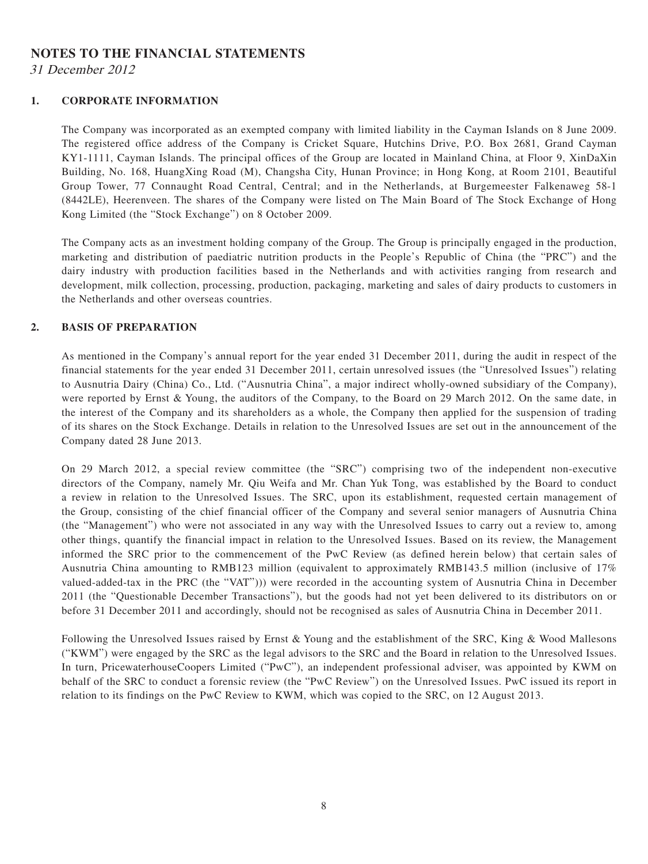# **NOTES TO THE FINANCIAL STATEMENTS**

31 December 2012

#### **1. CORPORATE INFORMATION**

The Company was incorporated as an exempted company with limited liability in the Cayman Islands on 8 June 2009. The registered office address of the Company is Cricket Square, Hutchins Drive, P.O. Box 2681, Grand Cayman KY1-1111, Cayman Islands. The principal offices of the Group are located in Mainland China, at Floor 9, XinDaXin Building, No. 168, HuangXing Road (M), Changsha City, Hunan Province; in Hong Kong, at Room 2101, Beautiful Group Tower, 77 Connaught Road Central, Central; and in the Netherlands, at Burgemeester Falkenaweg 58-1 (8442LE), Heerenveen. The shares of the Company were listed on The Main Board of The Stock Exchange of Hong Kong Limited (the "Stock Exchange") on 8 October 2009.

The Company acts as an investment holding company of the Group. The Group is principally engaged in the production, marketing and distribution of paediatric nutrition products in the People's Republic of China (the "PRC") and the dairy industry with production facilities based in the Netherlands and with activities ranging from research and development, milk collection, processing, production, packaging, marketing and sales of dairy products to customers in the Netherlands and other overseas countries.

#### **2. BASIS OF PREPARATION**

As mentioned in the Company's annual report for the year ended 31 December 2011, during the audit in respect of the financial statements for the year ended 31 December 2011, certain unresolved issues (the "Unresolved Issues") relating to Ausnutria Dairy (China) Co., Ltd. ("Ausnutria China", a major indirect wholly-owned subsidiary of the Company), were reported by Ernst & Young, the auditors of the Company, to the Board on 29 March 2012. On the same date, in the interest of the Company and its shareholders as a whole, the Company then applied for the suspension of trading of its shares on the Stock Exchange. Details in relation to the Unresolved Issues are set out in the announcement of the Company dated 28 June 2013.

On 29 March 2012, a special review committee (the "SRC") comprising two of the independent non-executive directors of the Company, namely Mr. Qiu Weifa and Mr. Chan Yuk Tong, was established by the Board to conduct a review in relation to the Unresolved Issues. The SRC, upon its establishment, requested certain management of the Group, consisting of the chief financial officer of the Company and several senior managers of Ausnutria China (the "Management") who were not associated in any way with the Unresolved Issues to carry out a review to, among other things, quantify the financial impact in relation to the Unresolved Issues. Based on its review, the Management informed the SRC prior to the commencement of the PwC Review (as defined herein below) that certain sales of Ausnutria China amounting to RMB123 million (equivalent to approximately RMB143.5 million (inclusive of 17% valued-added-tax in the PRC (the "VAT"))) were recorded in the accounting system of Ausnutria China in December 2011 (the "Questionable December Transactions"), but the goods had not yet been delivered to its distributors on or before 31 December 2011 and accordingly, should not be recognised as sales of Ausnutria China in December 2011.

Following the Unresolved Issues raised by Ernst & Young and the establishment of the SRC, King & Wood Mallesons ("KWM") were engaged by the SRC as the legal advisors to the SRC and the Board in relation to the Unresolved Issues. In turn, PricewaterhouseCoopers Limited ("PwC"), an independent professional adviser, was appointed by KWM on behalf of the SRC to conduct a forensic review (the "PwC Review") on the Unresolved Issues. PwC issued its report in relation to its findings on the PwC Review to KWM, which was copied to the SRC, on 12 August 2013.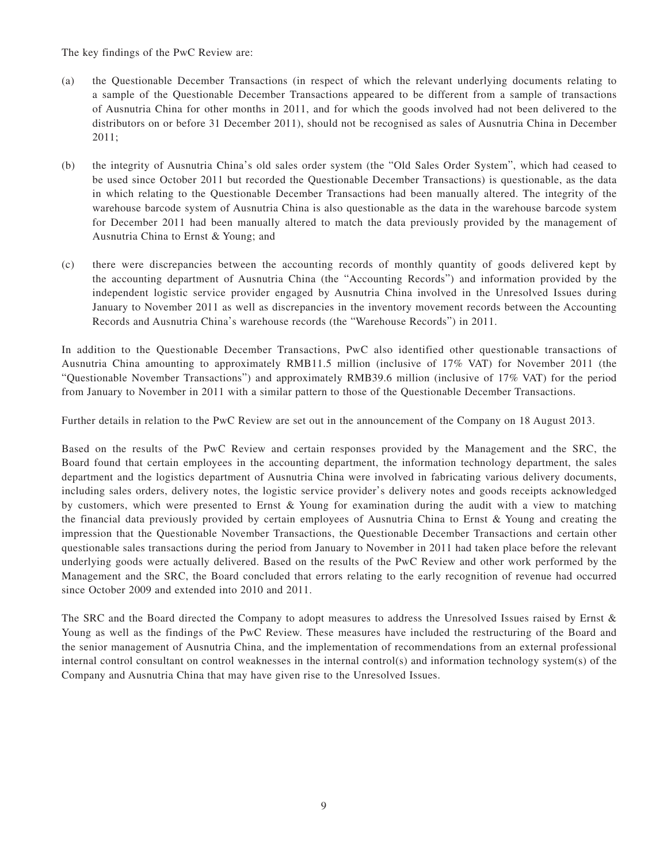The key findings of the PwC Review are:

- (a) the Questionable December Transactions (in respect of which the relevant underlying documents relating to a sample of the Questionable December Transactions appeared to be different from a sample of transactions of Ausnutria China for other months in 2011, and for which the goods involved had not been delivered to the distributors on or before 31 December 2011), should not be recognised as sales of Ausnutria China in December 2011;
- (b) the integrity of Ausnutria China's old sales order system (the "Old Sales Order System", which had ceased to be used since October 2011 but recorded the Questionable December Transactions) is questionable, as the data in which relating to the Questionable December Transactions had been manually altered. The integrity of the warehouse barcode system of Ausnutria China is also questionable as the data in the warehouse barcode system for December 2011 had been manually altered to match the data previously provided by the management of Ausnutria China to Ernst & Young; and
- (c) there were discrepancies between the accounting records of monthly quantity of goods delivered kept by the accounting department of Ausnutria China (the "Accounting Records") and information provided by the independent logistic service provider engaged by Ausnutria China involved in the Unresolved Issues during January to November 2011 as well as discrepancies in the inventory movement records between the Accounting Records and Ausnutria China's warehouse records (the "Warehouse Records") in 2011.

In addition to the Questionable December Transactions, PwC also identified other questionable transactions of Ausnutria China amounting to approximately RMB11.5 million (inclusive of 17% VAT) for November 2011 (the "Questionable November Transactions") and approximately RMB39.6 million (inclusive of 17% VAT) for the period from January to November in 2011 with a similar pattern to those of the Questionable December Transactions.

Further details in relation to the PwC Review are set out in the announcement of the Company on 18 August 2013.

Based on the results of the PwC Review and certain responses provided by the Management and the SRC, the Board found that certain employees in the accounting department, the information technology department, the sales department and the logistics department of Ausnutria China were involved in fabricating various delivery documents, including sales orders, delivery notes, the logistic service provider's delivery notes and goods receipts acknowledged by customers, which were presented to Ernst & Young for examination during the audit with a view to matching the financial data previously provided by certain employees of Ausnutria China to Ernst & Young and creating the impression that the Questionable November Transactions, the Questionable December Transactions and certain other questionable sales transactions during the period from January to November in 2011 had taken place before the relevant underlying goods were actually delivered. Based on the results of the PwC Review and other work performed by the Management and the SRC, the Board concluded that errors relating to the early recognition of revenue had occurred since October 2009 and extended into 2010 and 2011.

The SRC and the Board directed the Company to adopt measures to address the Unresolved Issues raised by Ernst & Young as well as the findings of the PwC Review. These measures have included the restructuring of the Board and the senior management of Ausnutria China, and the implementation of recommendations from an external professional internal control consultant on control weaknesses in the internal control(s) and information technology system(s) of the Company and Ausnutria China that may have given rise to the Unresolved Issues.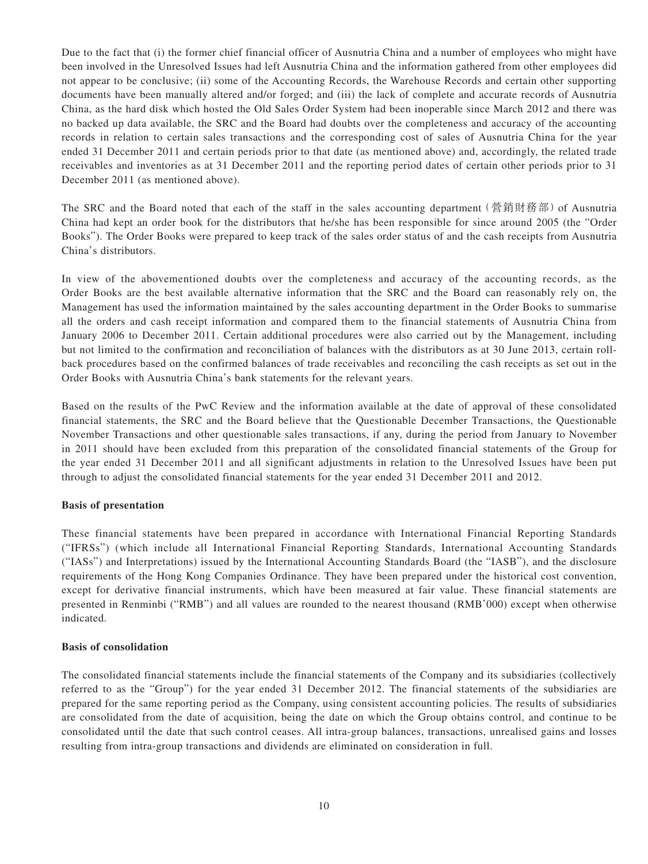Due to the fact that (i) the former chief financial officer of Ausnutria China and a number of employees who might have been involved in the Unresolved Issues had left Ausnutria China and the information gathered from other employees did not appear to be conclusive; (ii) some of the Accounting Records, the Warehouse Records and certain other supporting documents have been manually altered and/or forged; and (iii) the lack of complete and accurate records of Ausnutria China, as the hard disk which hosted the Old Sales Order System had been inoperable since March 2012 and there was no backed up data available, the SRC and the Board had doubts over the completeness and accuracy of the accounting records in relation to certain sales transactions and the corresponding cost of sales of Ausnutria China for the year ended 31 December 2011 and certain periods prior to that date (as mentioned above) and, accordingly, the related trade receivables and inventories as at 31 December 2011 and the reporting period dates of certain other periods prior to 31 December 2011 (as mentioned above).

The SRC and the Board noted that each of the staff in the sales accounting department (營銷財務部) of Ausnutria China had kept an order book for the distributors that he/she has been responsible for since around 2005 (the "Order Books"). The Order Books were prepared to keep track of the sales order status of and the cash receipts from Ausnutria China's distributors.

In view of the abovementioned doubts over the completeness and accuracy of the accounting records, as the Order Books are the best available alternative information that the SRC and the Board can reasonably rely on, the Management has used the information maintained by the sales accounting department in the Order Books to summarise all the orders and cash receipt information and compared them to the financial statements of Ausnutria China from January 2006 to December 2011. Certain additional procedures were also carried out by the Management, including but not limited to the confirmation and reconciliation of balances with the distributors as at 30 June 2013, certain rollback procedures based on the confirmed balances of trade receivables and reconciling the cash receipts as set out in the Order Books with Ausnutria China's bank statements for the relevant years.

Based on the results of the PwC Review and the information available at the date of approval of these consolidated financial statements, the SRC and the Board believe that the Questionable December Transactions, the Questionable November Transactions and other questionable sales transactions, if any, during the period from January to November in 2011 should have been excluded from this preparation of the consolidated financial statements of the Group for the year ended 31 December 2011 and all significant adjustments in relation to the Unresolved Issues have been put through to adjust the consolidated financial statements for the year ended 31 December 2011 and 2012.

#### **Basis of presentation**

These financial statements have been prepared in accordance with International Financial Reporting Standards ("IFRSs") (which include all International Financial Reporting Standards, International Accounting Standards ("IASs") and Interpretations) issued by the International Accounting Standards Board (the "IASB"), and the disclosure requirements of the Hong Kong Companies Ordinance. They have been prepared under the historical cost convention, except for derivative financial instruments, which have been measured at fair value. These financial statements are presented in Renminbi ("RMB") and all values are rounded to the nearest thousand (RMB'000) except when otherwise indicated.

#### **Basis of consolidation**

The consolidated financial statements include the financial statements of the Company and its subsidiaries (collectively referred to as the "Group") for the year ended 31 December 2012. The financial statements of the subsidiaries are prepared for the same reporting period as the Company, using consistent accounting policies. The results of subsidiaries are consolidated from the date of acquisition, being the date on which the Group obtains control, and continue to be consolidated until the date that such control ceases. All intra-group balances, transactions, unrealised gains and losses resulting from intra-group transactions and dividends are eliminated on consideration in full.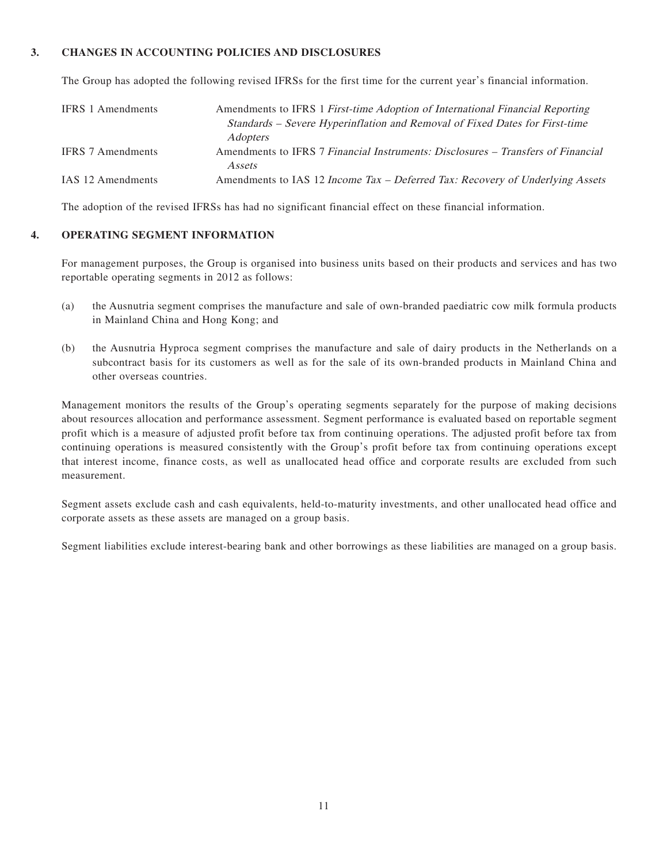#### **3. CHANGES IN ACCOUNTING POLICIES AND DISCLOSURES**

The Group has adopted the following revised IFRSs for the first time for the current year's financial information.

| <b>IFRS</b> 1 Amendments | Amendments to IFRS 1 First-time Adoption of International Financial Reporting<br>Standards – Severe Hyperinflation and Removal of Fixed Dates for First-time<br><i>Adopters</i> |
|--------------------------|---------------------------------------------------------------------------------------------------------------------------------------------------------------------------------|
| <b>IFRS</b> 7 Amendments | Amendments to IFRS 7 Financial Instruments: Disclosures – Transfers of Financial<br>Assets                                                                                      |
| IAS 12 Amendments        | Amendments to IAS 12 Income Tax – Deferred Tax: Recovery of Underlying Assets                                                                                                   |

The adoption of the revised IFRSs has had no significant financial effect on these financial information.

#### **4. OPERATING SEGMENT INFORMATION**

For management purposes, the Group is organised into business units based on their products and services and has two reportable operating segments in 2012 as follows:

- (a) the Ausnutria segment comprises the manufacture and sale of own-branded paediatric cow milk formula products in Mainland China and Hong Kong; and
- (b) the Ausnutria Hyproca segment comprises the manufacture and sale of dairy products in the Netherlands on a subcontract basis for its customers as well as for the sale of its own-branded products in Mainland China and other overseas countries.

Management monitors the results of the Group's operating segments separately for the purpose of making decisions about resources allocation and performance assessment. Segment performance is evaluated based on reportable segment profit which is a measure of adjusted profit before tax from continuing operations. The adjusted profit before tax from continuing operations is measured consistently with the Group's profit before tax from continuing operations except that interest income, finance costs, as well as unallocated head office and corporate results are excluded from such measurement.

Segment assets exclude cash and cash equivalents, held-to-maturity investments, and other unallocated head office and corporate assets as these assets are managed on a group basis.

Segment liabilities exclude interest-bearing bank and other borrowings as these liabilities are managed on a group basis.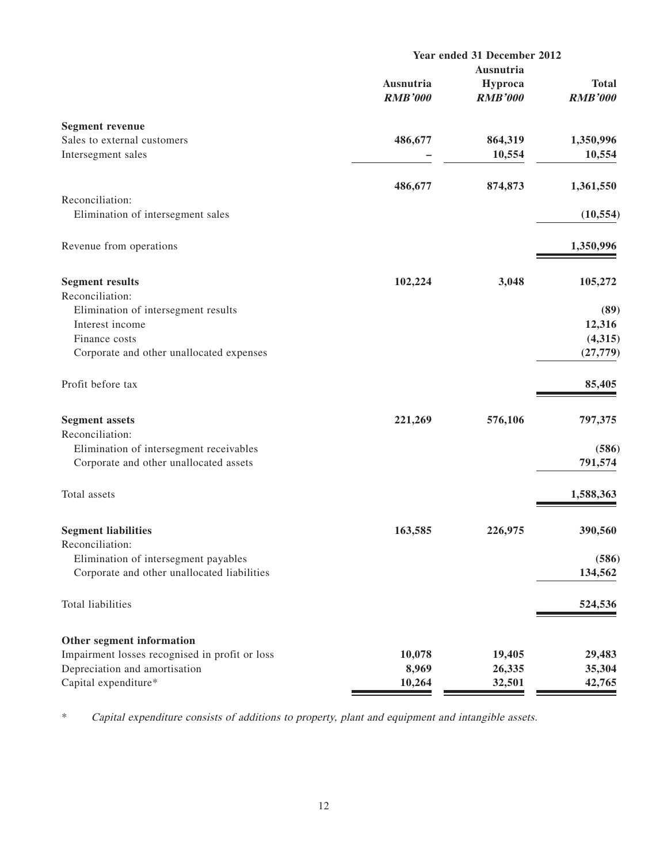|                                                | Year ended 31 December 2012 |                           |                                |
|------------------------------------------------|-----------------------------|---------------------------|--------------------------------|
|                                                | Ausnutria                   |                           |                                |
|                                                | Ausnutria<br><b>RMB'000</b> | Hyproca<br><b>RMB'000</b> | <b>Total</b><br><b>RMB'000</b> |
| <b>Segment revenue</b>                         |                             |                           |                                |
| Sales to external customers                    | 486,677                     | 864,319                   | 1,350,996                      |
| Intersegment sales                             |                             | 10,554                    | 10,554                         |
|                                                | 486,677                     | 874,873                   | 1,361,550                      |
| Reconciliation:                                |                             |                           |                                |
| Elimination of intersegment sales              |                             |                           | (10, 554)                      |
| Revenue from operations                        |                             |                           | 1,350,996                      |
| <b>Segment results</b>                         | 102,224                     | 3,048                     | 105,272                        |
| Reconciliation:                                |                             |                           |                                |
| Elimination of intersegment results            |                             |                           | (89)                           |
| Interest income                                |                             |                           | 12,316                         |
| Finance costs                                  |                             |                           | (4,315)                        |
| Corporate and other unallocated expenses       |                             |                           | (27, 779)                      |
| Profit before tax                              |                             |                           | 85,405                         |
| <b>Segment assets</b>                          | 221,269                     | 576,106                   | 797,375                        |
| Reconciliation:                                |                             |                           |                                |
| Elimination of intersegment receivables        |                             |                           | (586)                          |
| Corporate and other unallocated assets         |                             |                           | 791,574                        |
| Total assets                                   |                             |                           | 1,588,363                      |
| <b>Segment liabilities</b>                     | 163,585                     | 226,975                   | 390,560                        |
| Reconciliation:                                |                             |                           |                                |
| Elimination of intersegment payables           |                             |                           | (586)                          |
| Corporate and other unallocated liabilities    |                             |                           | 134,562                        |
| Total liabilities                              |                             |                           | 524,536                        |
| Other segment information                      |                             |                           |                                |
| Impairment losses recognised in profit or loss | 10,078                      | 19,405                    | 29,483                         |
| Depreciation and amortisation                  | 8,969                       | 26,335                    | 35,304                         |
| Capital expenditure*                           | 10,264                      | 32,501                    | 42,765                         |

\* Capital expenditure consists of additions to property, plant and equipment and intangible assets.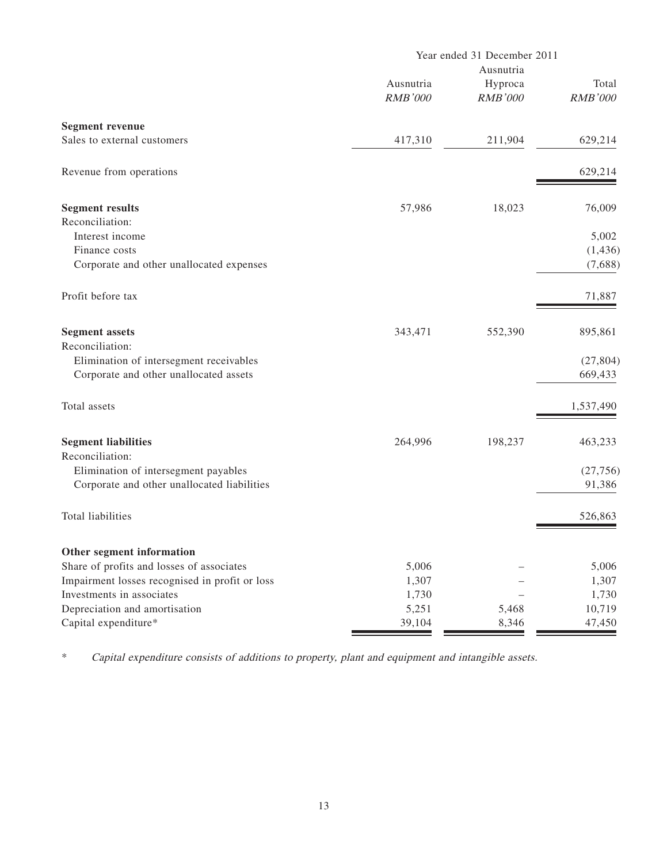|                                                | Year ended 31 December 2011<br>Ausnutria |                           |                         |
|------------------------------------------------|------------------------------------------|---------------------------|-------------------------|
|                                                | Ausnutria<br><b>RMB'000</b>              | Hyproca<br><b>RMB'000</b> | Total<br><b>RMB'000</b> |
| <b>Segment revenue</b>                         |                                          |                           |                         |
| Sales to external customers                    | 417,310                                  | 211,904                   | 629,214                 |
| Revenue from operations                        |                                          |                           | 629,214                 |
| <b>Segment results</b>                         | 57,986                                   | 18,023                    | 76,009                  |
| Reconciliation:                                |                                          |                           |                         |
| Interest income                                |                                          |                           | 5,002                   |
| Finance costs                                  |                                          |                           | (1, 436)                |
| Corporate and other unallocated expenses       |                                          |                           | (7,688)                 |
| Profit before tax                              |                                          |                           | 71,887                  |
| <b>Segment</b> assets                          | 343,471                                  | 552,390                   | 895,861                 |
| Reconciliation:                                |                                          |                           |                         |
| Elimination of intersegment receivables        |                                          |                           | (27, 804)               |
| Corporate and other unallocated assets         |                                          |                           | 669,433                 |
| Total assets                                   |                                          |                           | 1,537,490               |
| <b>Segment liabilities</b>                     | 264,996                                  | 198,237                   | 463,233                 |
| Reconciliation:                                |                                          |                           |                         |
| Elimination of intersegment payables           |                                          |                           | (27, 756)               |
| Corporate and other unallocated liabilities    |                                          |                           | 91,386                  |
| <b>Total liabilities</b>                       |                                          |                           | 526,863                 |
| Other segment information                      |                                          |                           |                         |
| Share of profits and losses of associates      | 5,006                                    |                           | 5,006                   |
| Impairment losses recognised in profit or loss | 1,307                                    |                           | 1,307                   |
| Investments in associates                      | 1,730                                    |                           | 1,730                   |
| Depreciation and amortisation                  | 5,251                                    | 5,468                     | 10,719                  |
| Capital expenditure*                           | 39,104                                   | 8,346                     | 47,450                  |

\* Capital expenditure consists of additions to property, plant and equipment and intangible assets.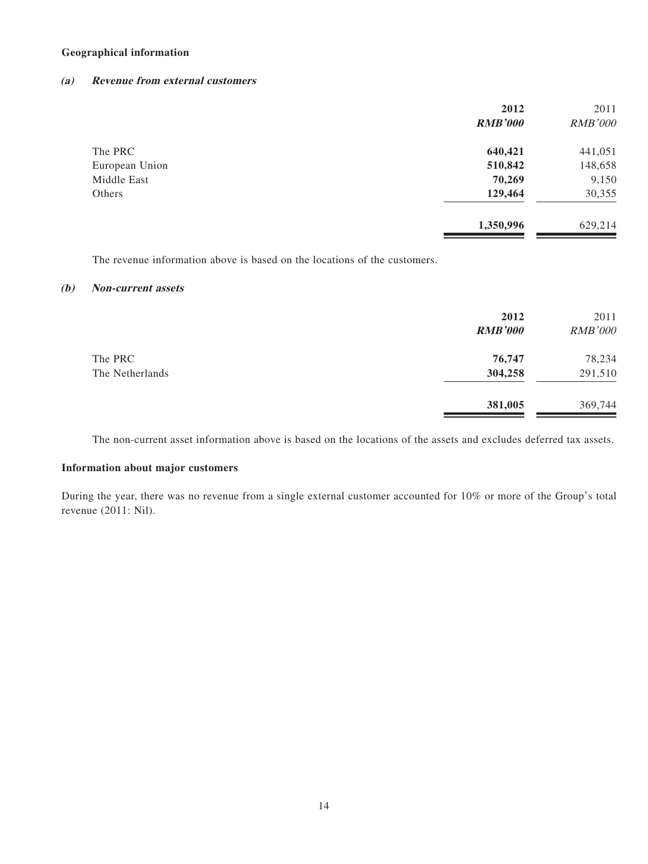#### **Geographical information**

#### **(a) Revenue from external customers**

|                | 2012<br><b>RMB'000</b> | 2011<br><b>RMB'000</b> |
|----------------|------------------------|------------------------|
| The PRC        | 640,421                | 441,051                |
| European Union | 510,842                | 148,658                |
| Middle East    | 70,269                 | 9,150                  |
| Others         | 129,464                | 30,355                 |
|                | 1,350,996              | 629,214                |

The revenue information above is based on the locations of the customers.

#### **(b) Non-current assets**

|                 | 2012<br><b>RMB'000</b> | 2011<br><b>RMB'000</b> |
|-----------------|------------------------|------------------------|
| The PRC         | 76,747                 | 78,234                 |
| The Netherlands | 304,258                | 291,510                |
|                 | 381,005                | 369,744                |

The non-current asset information above is based on the locations of the assets and excludes deferred tax assets.

#### **Information about major customers**

During the year, there was no revenue from a single external customer accounted for 10% or more of the Group's total revenue (2011: Nil).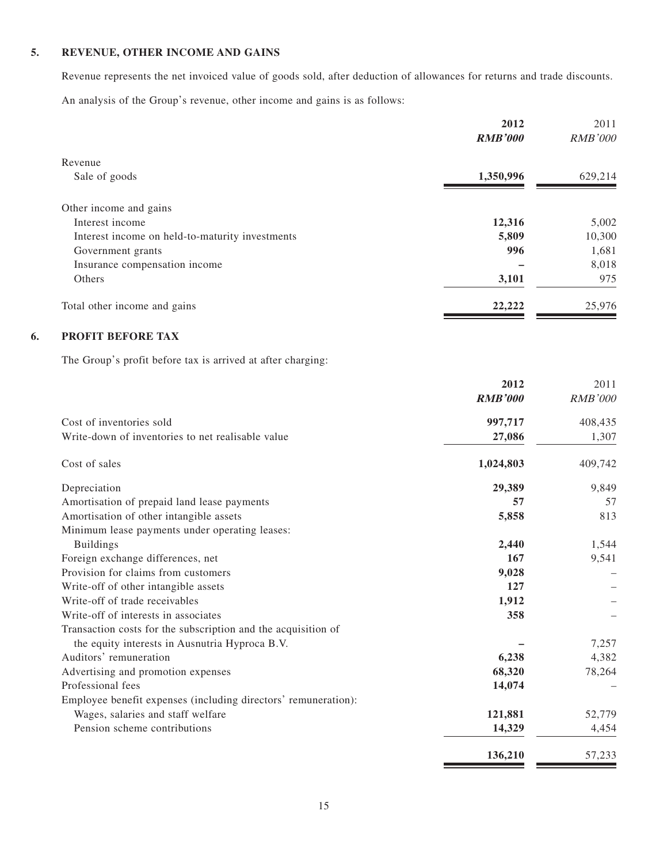### **5. REVENUE, OTHER INCOME AND GAINS**

Revenue represents the net invoiced value of goods sold, after deduction of allowances for returns and trade discounts. An analysis of the Group's revenue, other income and gains is as follows:

|                                                                                                                 | 2012<br><b>RMB'000</b> | 2011<br><b>RMB'000</b> |
|-----------------------------------------------------------------------------------------------------------------|------------------------|------------------------|
| Revenue                                                                                                         |                        |                        |
| Sale of goods                                                                                                   | 1,350,996              | 629,214                |
| Other income and gains                                                                                          |                        |                        |
| Interest income                                                                                                 | 12,316                 | 5,002                  |
| Interest income on held-to-maturity investments                                                                 | 5,809                  | 10,300                 |
| Government grants                                                                                               | 996                    | 1,681                  |
| Insurance compensation income                                                                                   |                        | 8,018                  |
| Others                                                                                                          | 3,101                  | 975                    |
| Total other income and gains                                                                                    | 22,222                 | 25,976                 |
| PROFIT BEFORE TAX                                                                                               |                        |                        |
| The Group's profit before tax is arrived at after charging:                                                     |                        |                        |
|                                                                                                                 | 2012                   | 2011                   |
|                                                                                                                 | <b>RMB'000</b>         | <b>RMB'000</b>         |
| Cost of inventories sold                                                                                        | 997,717                | 408,435                |
| Write-down of inventories to net realisable value                                                               | 27,086                 | 1,307                  |
| Cost of sales                                                                                                   | 1,024,803              | 409,742                |
| Depreciation                                                                                                    | 29,389                 | 9,849                  |
| Amortisation of prepaid land lease payments                                                                     | 57                     | 57                     |
| Amortisation of other intangible assets                                                                         | 5,858                  | 813                    |
| Minimum lease payments under operating leases:                                                                  |                        |                        |
| <b>Buildings</b>                                                                                                | 2,440                  | 1,544                  |
| Foreign exchange differences, net                                                                               | 167                    | 9,541                  |
| Provision for claims from customers                                                                             | 9,028                  |                        |
| Write-off of other intangible assets                                                                            | 127                    |                        |
| Write-off of trade receivables                                                                                  | 1,912                  |                        |
| Write-off of interests in associates                                                                            | 358                    |                        |
| Transaction costs for the subscription and the acquisition of<br>the equity interests in Ausnutria Hyproca B.V. |                        | 7,257                  |
| Auditors' remuneration                                                                                          | 6,238                  | 4,382                  |
| Advertising and promotion expenses                                                                              | 68,320                 | 78,264                 |
| Professional fees                                                                                               | 14,074                 |                        |
| Employee benefit expenses (including directors' remuneration):                                                  |                        |                        |
| Wages, salaries and staff welfare                                                                               | 121,881                | 52,779                 |
| Pension scheme contributions                                                                                    | 14,329                 | 4,454                  |
|                                                                                                                 |                        |                        |
|                                                                                                                 | 136,210                | 57,233                 |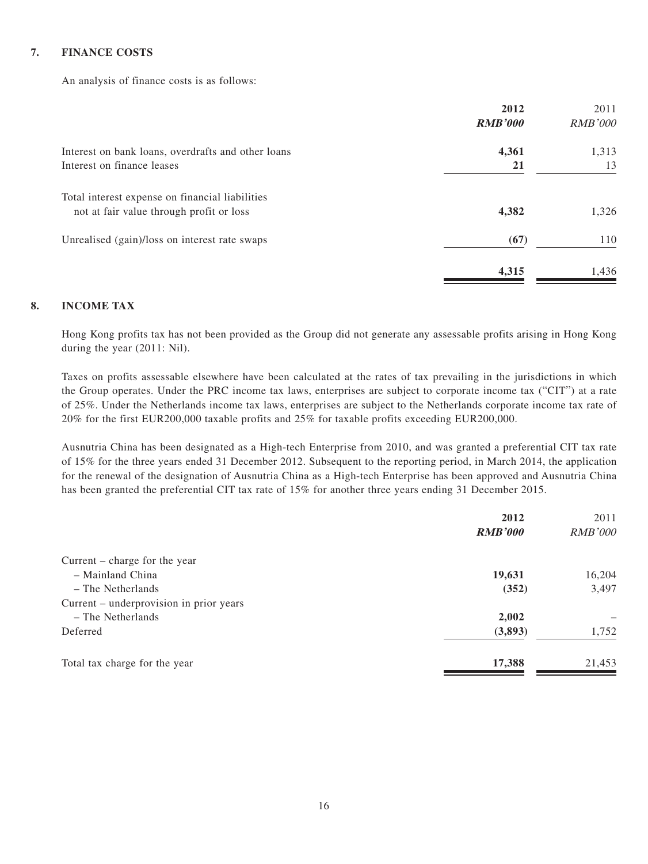#### **7. FINANCE COSTS**

An analysis of finance costs is as follows:

|                                                    | 2012           | 2011           |
|----------------------------------------------------|----------------|----------------|
|                                                    | <b>RMB'000</b> | <b>RMB'000</b> |
| Interest on bank loans, overdrafts and other loans | 4,361          | 1,313          |
| Interest on finance leases                         | 21             | 13             |
| Total interest expense on financial liabilities    |                |                |
| not at fair value through profit or loss           | 4,382          | 1,326          |
| Unrealised (gain)/loss on interest rate swaps      | (67)           | 110            |
|                                                    | 4,315          | 1,436          |

#### **8. INCOME TAX**

Hong Kong profits tax has not been provided as the Group did not generate any assessable profits arising in Hong Kong during the year (2011: Nil).

Taxes on profits assessable elsewhere have been calculated at the rates of tax prevailing in the jurisdictions in which the Group operates. Under the PRC income tax laws, enterprises are subject to corporate income tax ("CIT") at a rate of 25%. Under the Netherlands income tax laws, enterprises are subject to the Netherlands corporate income tax rate of 20% for the first EUR200,000 taxable profits and 25% for taxable profits exceeding EUR200,000.

Ausnutria China has been designated as a High-tech Enterprise from 2010, and was granted a preferential CIT tax rate of 15% for the three years ended 31 December 2012. Subsequent to the reporting period, in March 2014, the application for the renewal of the designation of Ausnutria China as a High-tech Enterprise has been approved and Ausnutria China has been granted the preferential CIT tax rate of 15% for another three years ending 31 December 2015.

| 2012           | 2011           |
|----------------|----------------|
| <b>RMB'000</b> | <b>RMB'000</b> |
|                |                |
| 19,631         | 16,204         |
| (352)          | 3,497          |
|                |                |
| 2,002          |                |
| (3,893)        | 1,752          |
| 17,388         | 21,453         |
|                |                |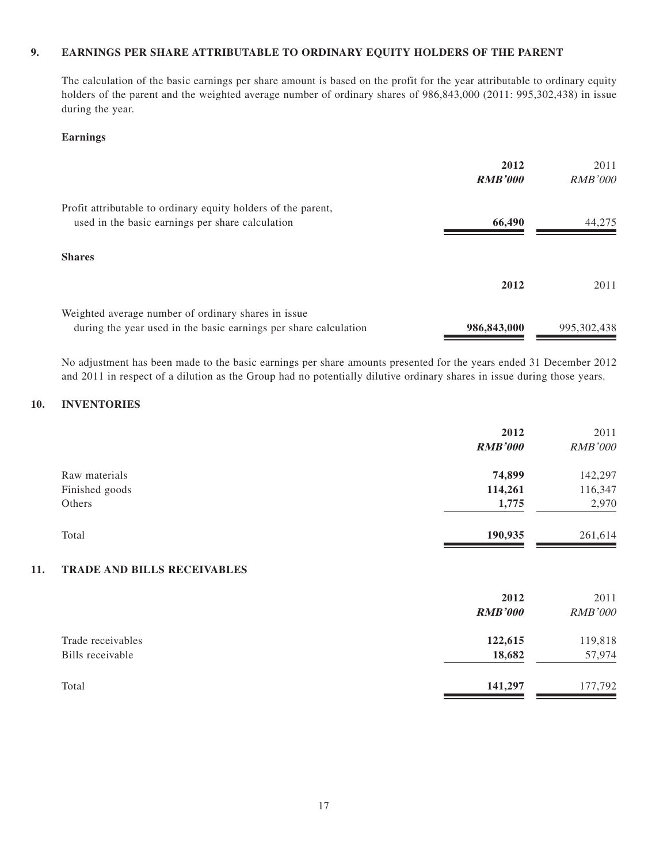#### **9. EARNINGS PER SHARE ATTRIBUTABLE TO ORDINARY EQUITY HOLDERS OF THE PARENT**

The calculation of the basic earnings per share amount is based on the profit for the year attributable to ordinary equity holders of the parent and the weighted average number of ordinary shares of 986,843,000 (2011: 995,302,438) in issue during the year.

#### **Earnings**

|                                                                                                                          | 2012<br><b>RMB'000</b> | 2011<br><i>RMB'000</i> |
|--------------------------------------------------------------------------------------------------------------------------|------------------------|------------------------|
| Profit attributable to ordinary equity holders of the parent,<br>used in the basic earnings per share calculation        | 66,490                 | 44,275                 |
| <b>Shares</b>                                                                                                            |                        |                        |
|                                                                                                                          | 2012                   | 2011                   |
| Weighted average number of ordinary shares in issue.<br>during the year used in the basic earnings per share calculation | 986,843,000            | 995, 302, 438          |

No adjustment has been made to the basic earnings per share amounts presented for the years ended 31 December 2012 and 2011 in respect of a dilution as the Group had no potentially dilutive ordinary shares in issue during those years.

#### **10. INVENTORIES**

|                | 2012<br><b>RMB'000</b> | 2011<br><b>RMB'000</b> |
|----------------|------------------------|------------------------|
| Raw materials  | 74,899                 | 142,297                |
| Finished goods | 114,261                | 116,347                |
| Others         | 1,775                  | 2,970                  |
| Total          | 190,935                | 261,614                |

#### **11. TRADE AND BILLS RECEIVABLES**

|                                       | 2012<br><b>RMB'000</b> | 2011<br><b>RMB'000</b> |
|---------------------------------------|------------------------|------------------------|
| Trade receivables<br>Bills receivable | 122,615<br>18,682      | 119,818<br>57,974      |
| Total                                 | 141,297                | 177,792                |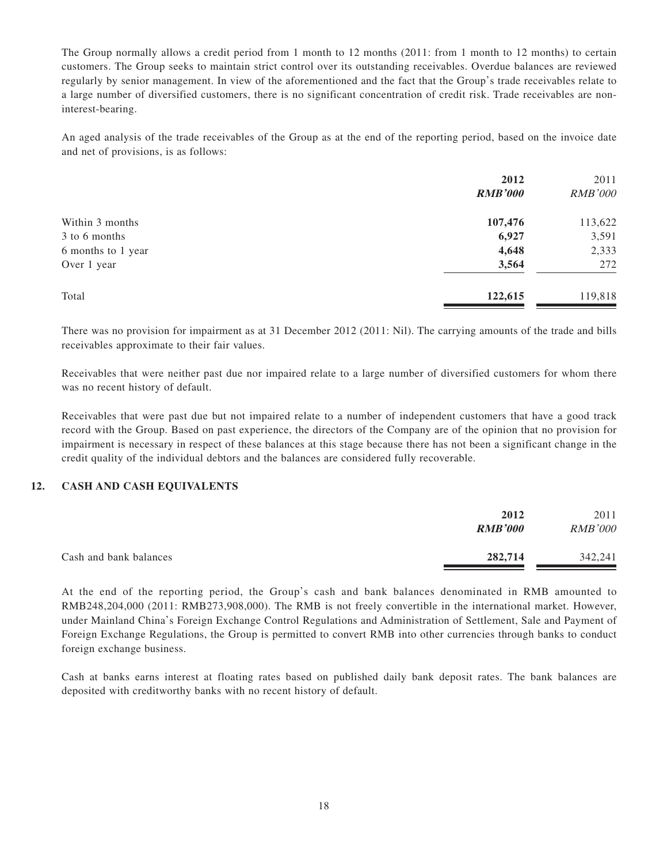The Group normally allows a credit period from 1 month to 12 months (2011: from 1 month to 12 months) to certain customers. The Group seeks to maintain strict control over its outstanding receivables. Overdue balances are reviewed regularly by senior management. In view of the aforementioned and the fact that the Group's trade receivables relate to a large number of diversified customers, there is no significant concentration of credit risk. Trade receivables are noninterest-bearing.

An aged analysis of the trade receivables of the Group as at the end of the reporting period, based on the invoice date and net of provisions, is as follows:

|                    | 2012           | 2011           |
|--------------------|----------------|----------------|
|                    | <b>RMB'000</b> | <b>RMB'000</b> |
| Within 3 months    | 107,476        | 113,622        |
| 3 to 6 months      | 6,927          | 3,591          |
| 6 months to 1 year | 4,648          | 2,333          |
| Over 1 year        | 3,564          | 272            |
| Total              | 122,615        | 119,818        |
|                    |                |                |

There was no provision for impairment as at 31 December 2012 (2011: Nil). The carrying amounts of the trade and bills receivables approximate to their fair values.

Receivables that were neither past due nor impaired relate to a large number of diversified customers for whom there was no recent history of default.

Receivables that were past due but not impaired relate to a number of independent customers that have a good track record with the Group. Based on past experience, the directors of the Company are of the opinion that no provision for impairment is necessary in respect of these balances at this stage because there has not been a significant change in the credit quality of the individual debtors and the balances are considered fully recoverable.

#### **12. CASH AND CASH EQUIVALENTS**

|                        | 2012<br><b>RMB'000</b> | 2011<br><b>RMB'000</b> |
|------------------------|------------------------|------------------------|
| Cash and bank balances | 282,714                | 342,241                |

At the end of the reporting period, the Group's cash and bank balances denominated in RMB amounted to RMB248,204,000 (2011: RMB273,908,000). The RMB is not freely convertible in the international market. However, under Mainland China's Foreign Exchange Control Regulations and Administration of Settlement, Sale and Payment of Foreign Exchange Regulations, the Group is permitted to convert RMB into other currencies through banks to conduct foreign exchange business.

Cash at banks earns interest at floating rates based on published daily bank deposit rates. The bank balances are deposited with creditworthy banks with no recent history of default.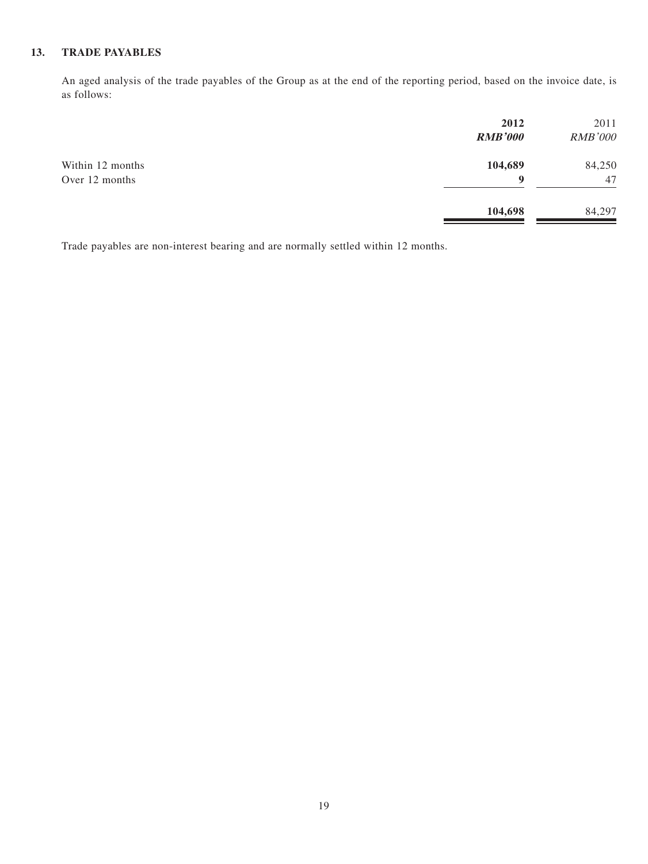#### **13. TRADE PAYABLES**

An aged analysis of the trade payables of the Group as at the end of the reporting period, based on the invoice date, is as follows:

|                                    | 2012<br><b>RMB'000</b> | 2011<br><b>RMB'000</b> |
|------------------------------------|------------------------|------------------------|
| Within 12 months<br>Over 12 months | 104,689<br>9           | 84,250<br>47           |
|                                    | 104,698                | 84,297                 |

Trade payables are non-interest bearing and are normally settled within 12 months.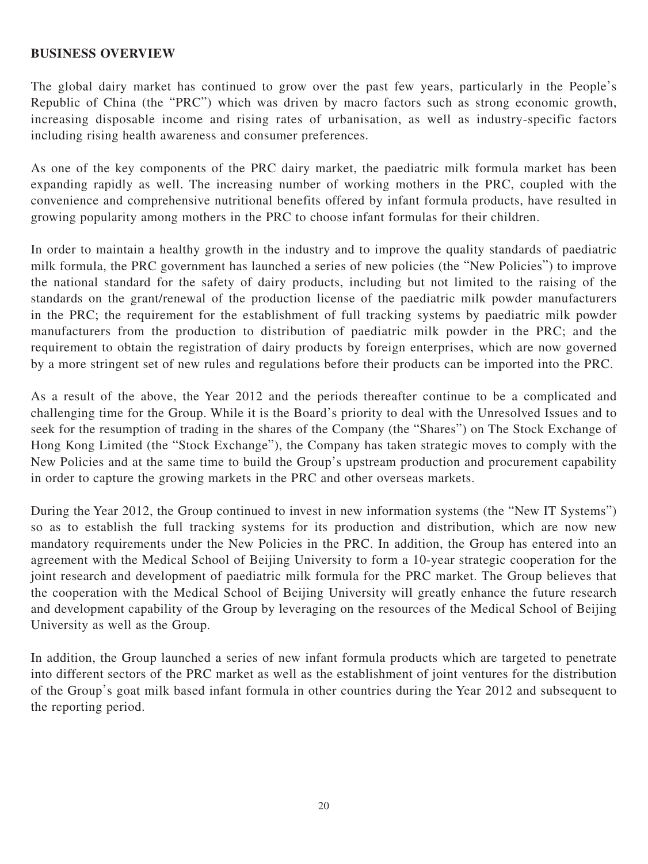#### **BUSINESS OVERVIEW**

The global dairy market has continued to grow over the past few years, particularly in the People's Republic of China (the "PRC") which was driven by macro factors such as strong economic growth, increasing disposable income and rising rates of urbanisation, as well as industry-specific factors including rising health awareness and consumer preferences.

As one of the key components of the PRC dairy market, the paediatric milk formula market has been expanding rapidly as well. The increasing number of working mothers in the PRC, coupled with the convenience and comprehensive nutritional benefits offered by infant formula products, have resulted in growing popularity among mothers in the PRC to choose infant formulas for their children.

In order to maintain a healthy growth in the industry and to improve the quality standards of paediatric milk formula, the PRC government has launched a series of new policies (the "New Policies") to improve the national standard for the safety of dairy products, including but not limited to the raising of the standards on the grant/renewal of the production license of the paediatric milk powder manufacturers in the PRC; the requirement for the establishment of full tracking systems by paediatric milk powder manufacturers from the production to distribution of paediatric milk powder in the PRC; and the requirement to obtain the registration of dairy products by foreign enterprises, which are now governed by a more stringent set of new rules and regulations before their products can be imported into the PRC.

As a result of the above, the Year 2012 and the periods thereafter continue to be a complicated and challenging time for the Group. While it is the Board's priority to deal with the Unresolved Issues and to seek for the resumption of trading in the shares of the Company (the "Shares") on The Stock Exchange of Hong Kong Limited (the "Stock Exchange"), the Company has taken strategic moves to comply with the New Policies and at the same time to build the Group's upstream production and procurement capability in order to capture the growing markets in the PRC and other overseas markets.

During the Year 2012, the Group continued to invest in new information systems (the "New IT Systems") so as to establish the full tracking systems for its production and distribution, which are now new mandatory requirements under the New Policies in the PRC. In addition, the Group has entered into an agreement with the Medical School of Beijing University to form a 10-year strategic cooperation for the joint research and development of paediatric milk formula for the PRC market. The Group believes that the cooperation with the Medical School of Beijing University will greatly enhance the future research and development capability of the Group by leveraging on the resources of the Medical School of Beijing University as well as the Group.

In addition, the Group launched a series of new infant formula products which are targeted to penetrate into different sectors of the PRC market as well as the establishment of joint ventures for the distribution of the Group's goat milk based infant formula in other countries during the Year 2012 and subsequent to the reporting period.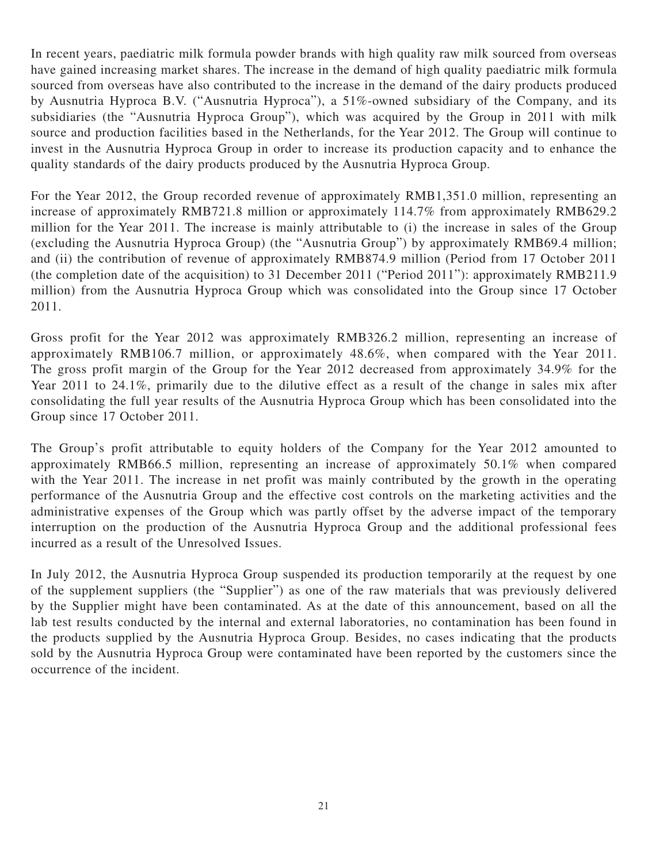In recent years, paediatric milk formula powder brands with high quality raw milk sourced from overseas have gained increasing market shares. The increase in the demand of high quality paediatric milk formula sourced from overseas have also contributed to the increase in the demand of the dairy products produced by Ausnutria Hyproca B.V. ("Ausnutria Hyproca"), a 51%-owned subsidiary of the Company, and its subsidiaries (the "Ausnutria Hyproca Group"), which was acquired by the Group in 2011 with milk source and production facilities based in the Netherlands, for the Year 2012. The Group will continue to invest in the Ausnutria Hyproca Group in order to increase its production capacity and to enhance the quality standards of the dairy products produced by the Ausnutria Hyproca Group.

For the Year 2012, the Group recorded revenue of approximately RMB1,351.0 million, representing an increase of approximately RMB721.8 million or approximately 114.7% from approximately RMB629.2 million for the Year 2011. The increase is mainly attributable to (i) the increase in sales of the Group (excluding the Ausnutria Hyproca Group) (the "Ausnutria Group") by approximately RMB69.4 million; and (ii) the contribution of revenue of approximately RMB874.9 million (Period from 17 October 2011 (the completion date of the acquisition) to 31 December 2011 ("Period 2011"): approximately RMB211.9 million) from the Ausnutria Hyproca Group which was consolidated into the Group since 17 October 2011.

Gross profit for the Year 2012 was approximately RMB326.2 million, representing an increase of approximately RMB106.7 million, or approximately 48.6%, when compared with the Year 2011. The gross profit margin of the Group for the Year 2012 decreased from approximately 34.9% for the Year 2011 to 24.1%, primarily due to the dilutive effect as a result of the change in sales mix after consolidating the full year results of the Ausnutria Hyproca Group which has been consolidated into the Group since 17 October 2011.

The Group's profit attributable to equity holders of the Company for the Year 2012 amounted to approximately RMB66.5 million, representing an increase of approximately 50.1% when compared with the Year 2011. The increase in net profit was mainly contributed by the growth in the operating performance of the Ausnutria Group and the effective cost controls on the marketing activities and the administrative expenses of the Group which was partly offset by the adverse impact of the temporary interruption on the production of the Ausnutria Hyproca Group and the additional professional fees incurred as a result of the Unresolved Issues.

In July 2012, the Ausnutria Hyproca Group suspended its production temporarily at the request by one of the supplement suppliers (the "Supplier") as one of the raw materials that was previously delivered by the Supplier might have been contaminated. As at the date of this announcement, based on all the lab test results conducted by the internal and external laboratories, no contamination has been found in the products supplied by the Ausnutria Hyproca Group. Besides, no cases indicating that the products sold by the Ausnutria Hyproca Group were contaminated have been reported by the customers since the occurrence of the incident.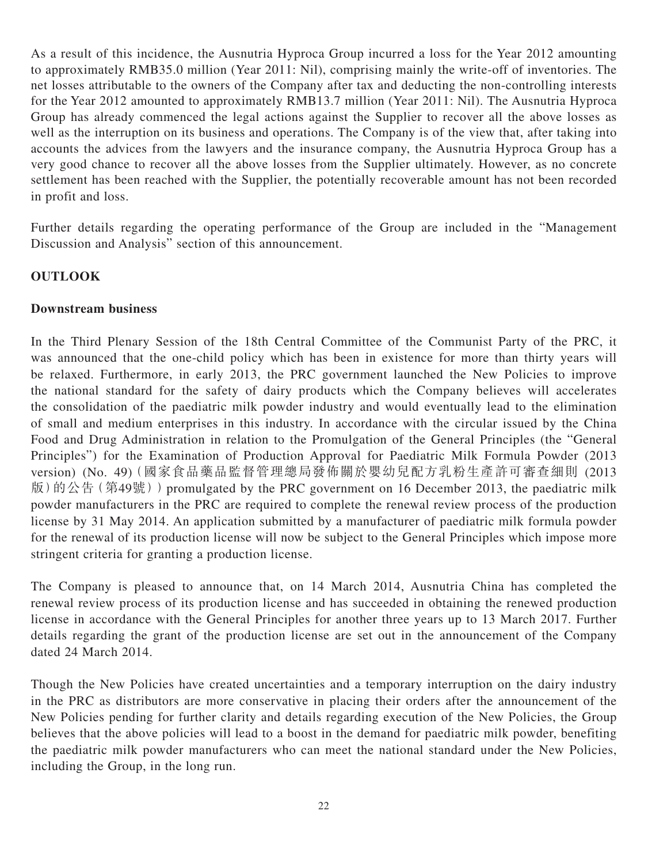As a result of this incidence, the Ausnutria Hyproca Group incurred a loss for the Year 2012 amounting to approximately RMB35.0 million (Year 2011: Nil), comprising mainly the write-off of inventories. The net losses attributable to the owners of the Company after tax and deducting the non-controlling interests for the Year 2012 amounted to approximately RMB13.7 million (Year 2011: Nil). The Ausnutria Hyproca Group has already commenced the legal actions against the Supplier to recover all the above losses as well as the interruption on its business and operations. The Company is of the view that, after taking into accounts the advices from the lawyers and the insurance company, the Ausnutria Hyproca Group has a very good chance to recover all the above losses from the Supplier ultimately. However, as no concrete settlement has been reached with the Supplier, the potentially recoverable amount has not been recorded in profit and loss.

Further details regarding the operating performance of the Group are included in the "Management Discussion and Analysis" section of this announcement.

# **OUTLOOK**

### **Downstream business**

In the Third Plenary Session of the 18th Central Committee of the Communist Party of the PRC, it was announced that the one-child policy which has been in existence for more than thirty years will be relaxed. Furthermore, in early 2013, the PRC government launched the New Policies to improve the national standard for the safety of dairy products which the Company believes will accelerates the consolidation of the paediatric milk powder industry and would eventually lead to the elimination of small and medium enterprises in this industry. In accordance with the circular issued by the China Food and Drug Administration in relation to the Promulgation of the General Principles (the "General Principles") for the Examination of Production Approval for Paediatric Milk Formula Powder (2013 version) (No. 49)(國家食品藥品監督管理總局發佈關於嬰幼兒配方乳粉生產許可審查細則 (2013 版)的公告(第49號)) promulgated by the PRC government on 16 December 2013, the paediatric milk powder manufacturers in the PRC are required to complete the renewal review process of the production license by 31 May 2014. An application submitted by a manufacturer of paediatric milk formula powder for the renewal of its production license will now be subject to the General Principles which impose more stringent criteria for granting a production license.

The Company is pleased to announce that, on 14 March 2014, Ausnutria China has completed the renewal review process of its production license and has succeeded in obtaining the renewed production license in accordance with the General Principles for another three years up to 13 March 2017. Further details regarding the grant of the production license are set out in the announcement of the Company dated 24 March 2014.

Though the New Policies have created uncertainties and a temporary interruption on the dairy industry in the PRC as distributors are more conservative in placing their orders after the announcement of the New Policies pending for further clarity and details regarding execution of the New Policies, the Group believes that the above policies will lead to a boost in the demand for paediatric milk powder, benefiting the paediatric milk powder manufacturers who can meet the national standard under the New Policies, including the Group, in the long run.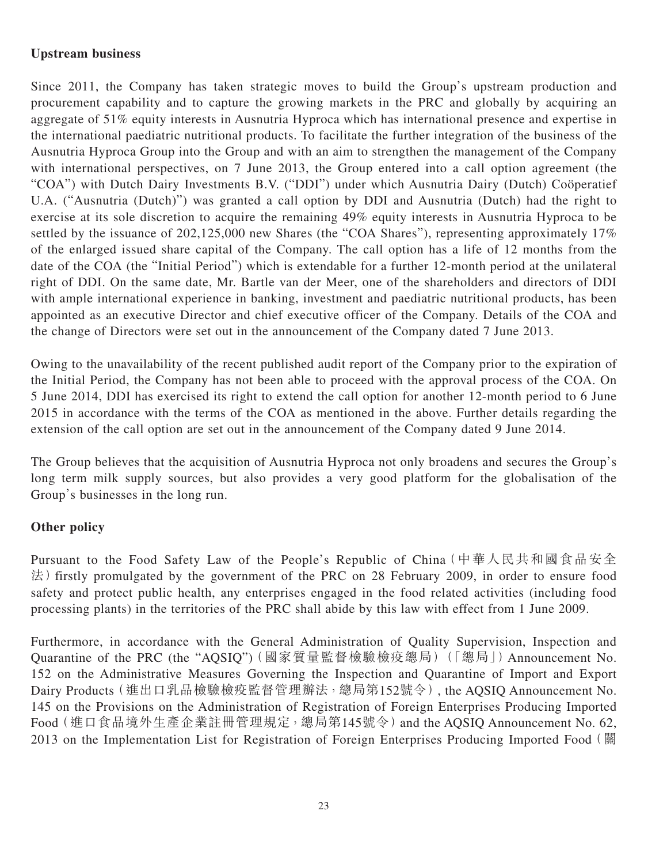# **Upstream business**

Since 2011, the Company has taken strategic moves to build the Group's upstream production and procurement capability and to capture the growing markets in the PRC and globally by acquiring an aggregate of 51% equity interests in Ausnutria Hyproca which has international presence and expertise in the international paediatric nutritional products. To facilitate the further integration of the business of the Ausnutria Hyproca Group into the Group and with an aim to strengthen the management of the Company with international perspectives, on 7 June 2013, the Group entered into a call option agreement (the "COA") with Dutch Dairy Investments B.V. ("DDI") under which Ausnutria Dairy (Dutch) Coöperatief U.A. ("Ausnutria (Dutch)") was granted a call option by DDI and Ausnutria (Dutch) had the right to exercise at its sole discretion to acquire the remaining 49% equity interests in Ausnutria Hyproca to be settled by the issuance of 202,125,000 new Shares (the "COA Shares"), representing approximately 17% of the enlarged issued share capital of the Company. The call option has a life of 12 months from the date of the COA (the "Initial Period") which is extendable for a further 12-month period at the unilateral right of DDI. On the same date, Mr. Bartle van der Meer, one of the shareholders and directors of DDI with ample international experience in banking, investment and paediatric nutritional products, has been appointed as an executive Director and chief executive officer of the Company. Details of the COA and the change of Directors were set out in the announcement of the Company dated 7 June 2013.

Owing to the unavailability of the recent published audit report of the Company prior to the expiration of the Initial Period, the Company has not been able to proceed with the approval process of the COA. On 5 June 2014, DDI has exercised its right to extend the call option for another 12-month period to 6 June 2015 in accordance with the terms of the COA as mentioned in the above. Further details regarding the extension of the call option are set out in the announcement of the Company dated 9 June 2014.

The Group believes that the acquisition of Ausnutria Hyproca not only broadens and secures the Group's long term milk supply sources, but also provides a very good platform for the globalisation of the Group's businesses in the long run.

## **Other policy**

Pursuant to the Food Safety Law of the People's Republic of China(中華人民共和國食品安全 法) firstly promulgated by the government of the PRC on 28 February 2009, in order to ensure food safety and protect public health, any enterprises engaged in the food related activities (including food processing plants) in the territories of the PRC shall abide by this law with effect from 1 June 2009.

Furthermore, in accordance with the General Administration of Quality Supervision, Inspection and Quarantine of the PRC (the "AQSIQ")(國家質量監督檢驗檢疫總局)(「總局」) Announcement No. 152 on the Administrative Measures Governing the Inspection and Quarantine of Import and Export Dairy Products(進出口乳品檢驗檢疫監督管理辦法,總局第152號令), the AQSIQ Announcement No. 145 on the Provisions on the Administration of Registration of Foreign Enterprises Producing Imported Food(進口食品境外生產企業註冊管理規定,總局第145號令)and the AQSIQ Announcement No. 62, 2013 on the Implementation List for Registration of Foreign Enterprises Producing Imported Food (關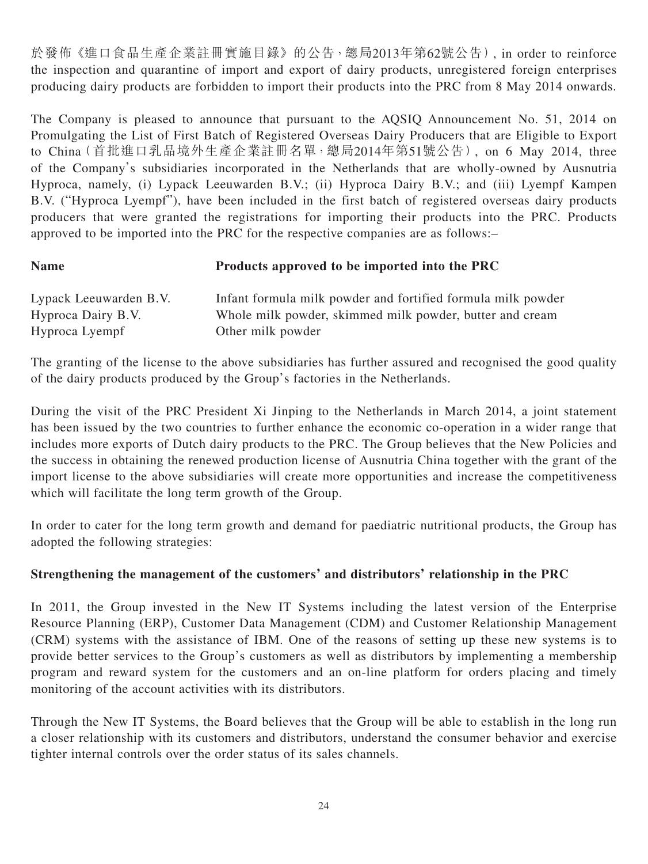於發佈《進口食品生產企業註冊實施目錄》的公告,總局2013年第62號公告), in order to reinforce the inspection and quarantine of import and export of dairy products, unregistered foreign enterprises producing dairy products are forbidden to import their products into the PRC from 8 May 2014 onwards.

The Company is pleased to announce that pursuant to the AQSIQ Announcement No. 51, 2014 on Promulgating the List of First Batch of Registered Overseas Dairy Producers that are Eligible to Export to China(首批進口乳品境外生產企業註冊名單,總局2014年第51號公告), on 6 May 2014, three of the Company's subsidiaries incorporated in the Netherlands that are wholly-owned by Ausnutria Hyproca, namely, (i) Lypack Leeuwarden B.V.; (ii) Hyproca Dairy B.V.; and (iii) Lyempf Kampen B.V. ("Hyproca Lyempf"), have been included in the first batch of registered overseas dairy products producers that were granted the registrations for importing their products into the PRC. Products approved to be imported into the PRC for the respective companies are as follows:–

| <b>Name</b> | Products approved to be imported into the PRC |
|-------------|-----------------------------------------------|
|-------------|-----------------------------------------------|

| Lypack Leeuwarden B.V. | Infant formula milk powder and fortified formula milk powder |
|------------------------|--------------------------------------------------------------|
| Hyproca Dairy B.V.     | Whole milk powder, skimmed milk powder, butter and cream     |
| Hyproca Lyempf         | Other milk powder                                            |

The granting of the license to the above subsidiaries has further assured and recognised the good quality of the dairy products produced by the Group's factories in the Netherlands.

During the visit of the PRC President Xi Jinping to the Netherlands in March 2014, a joint statement has been issued by the two countries to further enhance the economic co-operation in a wider range that includes more exports of Dutch dairy products to the PRC. The Group believes that the New Policies and the success in obtaining the renewed production license of Ausnutria China together with the grant of the import license to the above subsidiaries will create more opportunities and increase the competitiveness which will facilitate the long term growth of the Group.

In order to cater for the long term growth and demand for paediatric nutritional products, the Group has adopted the following strategies:

## **Strengthening the management of the customers' and distributors' relationship in the PRC**

In 2011, the Group invested in the New IT Systems including the latest version of the Enterprise Resource Planning (ERP), Customer Data Management (CDM) and Customer Relationship Management (CRM) systems with the assistance of IBM. One of the reasons of setting up these new systems is to provide better services to the Group's customers as well as distributors by implementing a membership program and reward system for the customers and an on-line platform for orders placing and timely monitoring of the account activities with its distributors.

Through the New IT Systems, the Board believes that the Group will be able to establish in the long run a closer relationship with its customers and distributors, understand the consumer behavior and exercise tighter internal controls over the order status of its sales channels.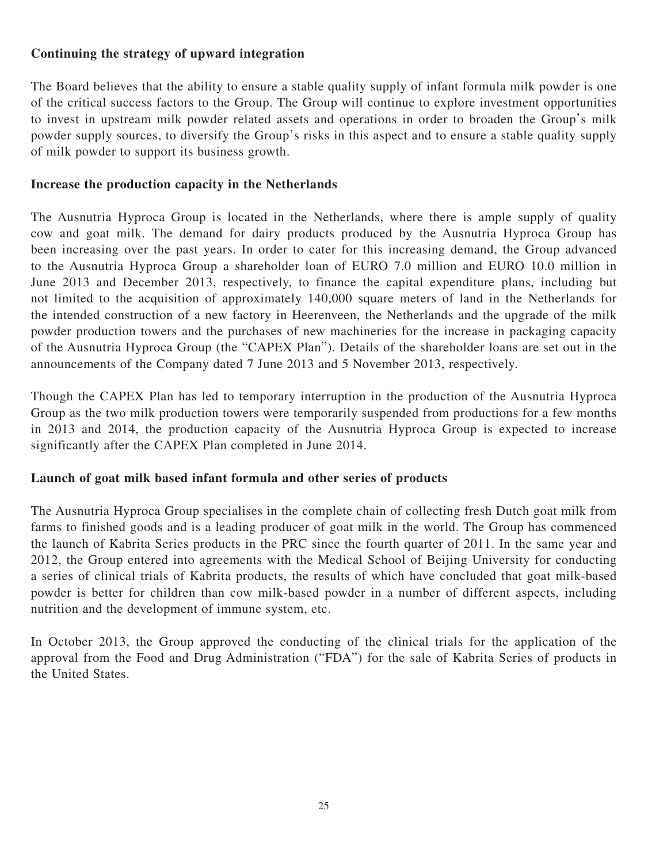# **Continuing the strategy of upward integration**

The Board believes that the ability to ensure a stable quality supply of infant formula milk powder is one of the critical success factors to the Group. The Group will continue to explore investment opportunities to invest in upstream milk powder related assets and operations in order to broaden the Group's milk powder supply sources, to diversify the Group's risks in this aspect and to ensure a stable quality supply of milk powder to support its business growth.

# **Increase the production capacity in the Netherlands**

The Ausnutria Hyproca Group is located in the Netherlands, where there is ample supply of quality cow and goat milk. The demand for dairy products produced by the Ausnutria Hyproca Group has been increasing over the past years. In order to cater for this increasing demand, the Group advanced to the Ausnutria Hyproca Group a shareholder loan of EURO 7.0 million and EURO 10.0 million in June 2013 and December 2013, respectively, to finance the capital expenditure plans, including but not limited to the acquisition of approximately 140,000 square meters of land in the Netherlands for the intended construction of a new factory in Heerenveen, the Netherlands and the upgrade of the milk powder production towers and the purchases of new machineries for the increase in packaging capacity of the Ausnutria Hyproca Group (the "CAPEX Plan"). Details of the shareholder loans are set out in the announcements of the Company dated 7 June 2013 and 5 November 2013, respectively.

Though the CAPEX Plan has led to temporary interruption in the production of the Ausnutria Hyproca Group as the two milk production towers were temporarily suspended from productions for a few months in 2013 and 2014, the production capacity of the Ausnutria Hyproca Group is expected to increase significantly after the CAPEX Plan completed in June 2014.

## **Launch of goat milk based infant formula and other series of products**

The Ausnutria Hyproca Group specialises in the complete chain of collecting fresh Dutch goat milk from farms to finished goods and is a leading producer of goat milk in the world. The Group has commenced the launch of Kabrita Series products in the PRC since the fourth quarter of 2011. In the same year and 2012, the Group entered into agreements with the Medical School of Beijing University for conducting a series of clinical trials of Kabrita products, the results of which have concluded that goat milk-based powder is better for children than cow milk-based powder in a number of different aspects, including nutrition and the development of immune system, etc.

In October 2013, the Group approved the conducting of the clinical trials for the application of the approval from the Food and Drug Administration ("FDA") for the sale of Kabrita Series of products in the United States.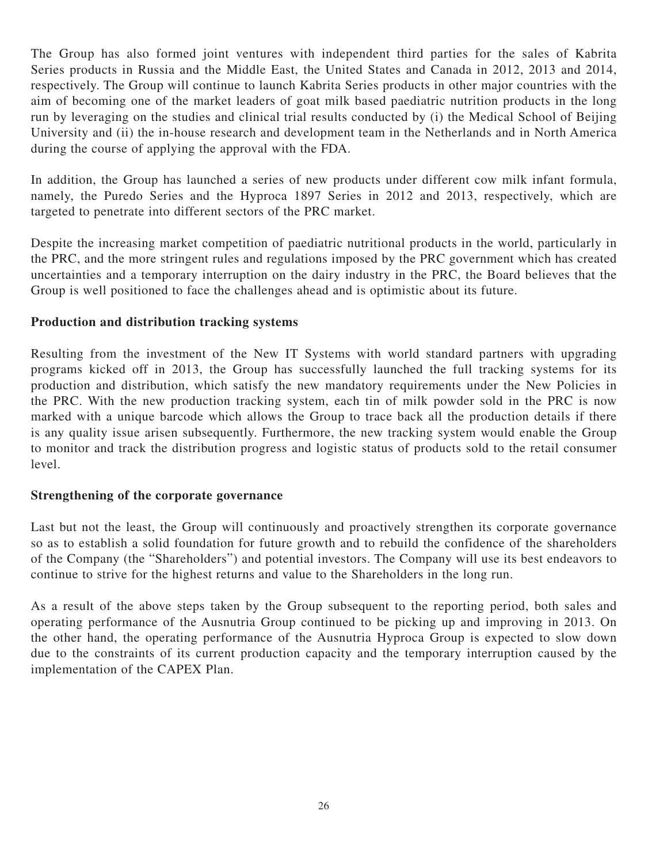The Group has also formed joint ventures with independent third parties for the sales of Kabrita Series products in Russia and the Middle East, the United States and Canada in 2012, 2013 and 2014, respectively. The Group will continue to launch Kabrita Series products in other major countries with the aim of becoming one of the market leaders of goat milk based paediatric nutrition products in the long run by leveraging on the studies and clinical trial results conducted by (i) the Medical School of Beijing University and (ii) the in-house research and development team in the Netherlands and in North America during the course of applying the approval with the FDA.

In addition, the Group has launched a series of new products under different cow milk infant formula, namely, the Puredo Series and the Hyproca 1897 Series in 2012 and 2013, respectively, which are targeted to penetrate into different sectors of the PRC market.

Despite the increasing market competition of paediatric nutritional products in the world, particularly in the PRC, and the more stringent rules and regulations imposed by the PRC government which has created uncertainties and a temporary interruption on the dairy industry in the PRC, the Board believes that the Group is well positioned to face the challenges ahead and is optimistic about its future.

### **Production and distribution tracking systems**

Resulting from the investment of the New IT Systems with world standard partners with upgrading programs kicked off in 2013, the Group has successfully launched the full tracking systems for its production and distribution, which satisfy the new mandatory requirements under the New Policies in the PRC. With the new production tracking system, each tin of milk powder sold in the PRC is now marked with a unique barcode which allows the Group to trace back all the production details if there is any quality issue arisen subsequently. Furthermore, the new tracking system would enable the Group to monitor and track the distribution progress and logistic status of products sold to the retail consumer level.

## **Strengthening of the corporate governance**

Last but not the least, the Group will continuously and proactively strengthen its corporate governance so as to establish a solid foundation for future growth and to rebuild the confidence of the shareholders of the Company (the "Shareholders") and potential investors. The Company will use its best endeavors to continue to strive for the highest returns and value to the Shareholders in the long run.

As a result of the above steps taken by the Group subsequent to the reporting period, both sales and operating performance of the Ausnutria Group continued to be picking up and improving in 2013. On the other hand, the operating performance of the Ausnutria Hyproca Group is expected to slow down due to the constraints of its current production capacity and the temporary interruption caused by the implementation of the CAPEX Plan.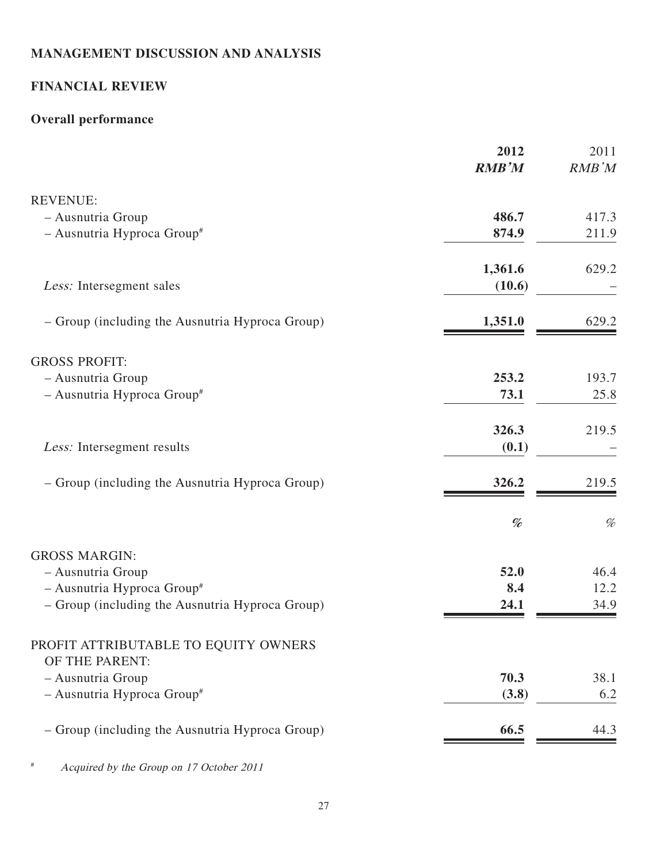# **MANAGEMENT DISCUSSION AND ANALYSIS**

# **FINANCIAL REVIEW**

# **Overall performance**

|                                                        | 2012<br><b>RMB'M</b> | 2011<br>RMB'M |
|--------------------------------------------------------|----------------------|---------------|
| <b>REVENUE:</b>                                        |                      |               |
| - Ausnutria Group                                      | 486.7                | 417.3         |
| - Ausnutria Hyproca Group#                             | 874.9                | 211.9         |
|                                                        | 1,361.6              | 629.2         |
| Less: Intersegment sales                               | (10.6)               |               |
| - Group (including the Ausnutria Hyproca Group)        | 1,351.0              | 629.2         |
| <b>GROSS PROFIT:</b>                                   |                      |               |
| - Ausnutria Group                                      | 253.2                | 193.7         |
| - Ausnutria Hyproca Group#                             | 73.1                 | 25.8          |
|                                                        | 326.3                | 219.5         |
| Less: Intersegment results                             | (0.1)                |               |
| - Group (including the Ausnutria Hyproca Group)        | 326.2                | 219.5         |
|                                                        | %                    | $\%$          |
| <b>GROSS MARGIN:</b>                                   |                      |               |
| - Ausnutria Group                                      | 52.0                 | 46.4          |
| - Ausnutria Hyproca Group#                             | 8.4                  | 12.2          |
| - Group (including the Ausnutria Hyproca Group)        | 24.1                 | 34.9          |
| PROFIT ATTRIBUTABLE TO EQUITY OWNERS<br>OF THE PARENT: |                      |               |
| - Ausnutria Group                                      | 70.3                 | 38.1          |
| - Ausnutria Hyproca Group#                             | (3.8)                | 6.2           |
| - Group (including the Ausnutria Hyproca Group)        | 66.5                 | 44.3          |
|                                                        |                      |               |

# Acquired by the Group on 17 October 2011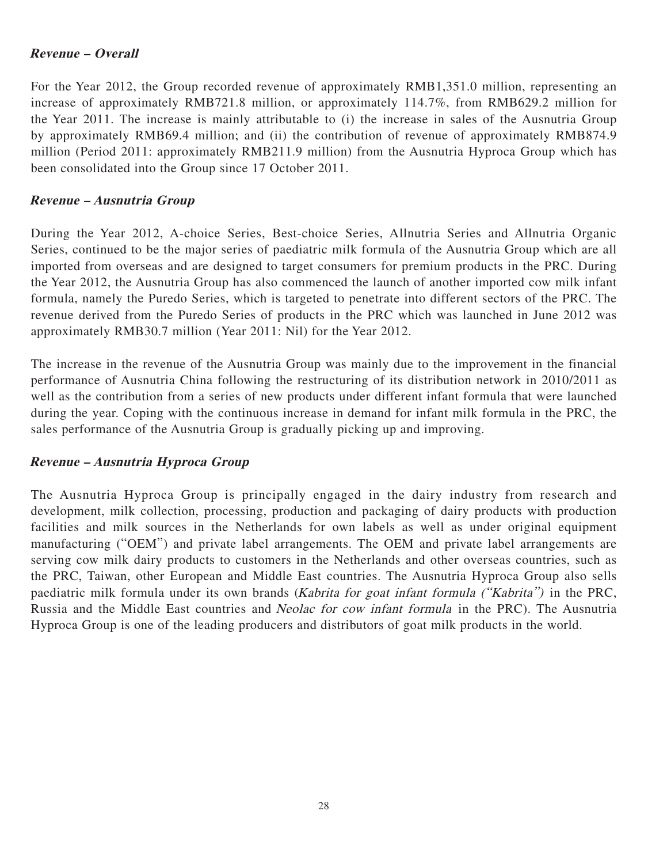### **Revenue – Overall**

For the Year 2012, the Group recorded revenue of approximately RMB1,351.0 million, representing an increase of approximately RMB721.8 million, or approximately 114.7%, from RMB629.2 million for the Year 2011. The increase is mainly attributable to (i) the increase in sales of the Ausnutria Group by approximately RMB69.4 million; and (ii) the contribution of revenue of approximately RMB874.9 million (Period 2011: approximately RMB211.9 million) from the Ausnutria Hyproca Group which has been consolidated into the Group since 17 October 2011.

### **Revenue – Ausnutria Group**

During the Year 2012, A-choice Series, Best-choice Series, Allnutria Series and Allnutria Organic Series, continued to be the major series of paediatric milk formula of the Ausnutria Group which are all imported from overseas and are designed to target consumers for premium products in the PRC. During the Year 2012, the Ausnutria Group has also commenced the launch of another imported cow milk infant formula, namely the Puredo Series, which is targeted to penetrate into different sectors of the PRC. The revenue derived from the Puredo Series of products in the PRC which was launched in June 2012 was approximately RMB30.7 million (Year 2011: Nil) for the Year 2012.

The increase in the revenue of the Ausnutria Group was mainly due to the improvement in the financial performance of Ausnutria China following the restructuring of its distribution network in 2010/2011 as well as the contribution from a series of new products under different infant formula that were launched during the year. Coping with the continuous increase in demand for infant milk formula in the PRC, the sales performance of the Ausnutria Group is gradually picking up and improving.

#### **Revenue – Ausnutria Hyproca Group**

The Ausnutria Hyproca Group is principally engaged in the dairy industry from research and development, milk collection, processing, production and packaging of dairy products with production facilities and milk sources in the Netherlands for own labels as well as under original equipment manufacturing ("OEM") and private label arrangements. The OEM and private label arrangements are serving cow milk dairy products to customers in the Netherlands and other overseas countries, such as the PRC, Taiwan, other European and Middle East countries. The Ausnutria Hyproca Group also sells paediatric milk formula under its own brands (Kabrita for goat infant formula ("Kabrita") in the PRC, Russia and the Middle East countries and Neolac for cow infant formula in the PRC). The Ausnutria Hyproca Group is one of the leading producers and distributors of goat milk products in the world.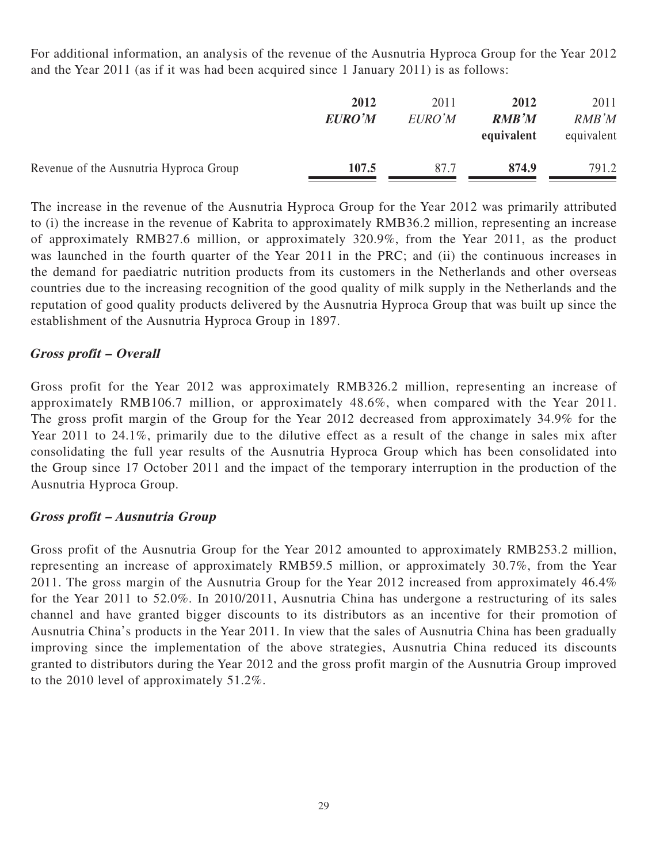For additional information, an analysis of the revenue of the Ausnutria Hyproca Group for the Year 2012 and the Year 2011 (as if it was had been acquired since 1 January 2011) is as follows:

|                                        | 2012<br><b>EURO'M</b> | 2011<br>EURO'M | 2012<br>RMB'M<br>equivalent | 2011<br>RMB'M<br>equivalent |
|----------------------------------------|-----------------------|----------------|-----------------------------|-----------------------------|
| Revenue of the Ausnutria Hyproca Group | 107.5                 | 87.7           | 874.9                       | 791.2                       |

The increase in the revenue of the Ausnutria Hyproca Group for the Year 2012 was primarily attributed to (i) the increase in the revenue of Kabrita to approximately RMB36.2 million, representing an increase of approximately RMB27.6 million, or approximately 320.9%, from the Year 2011, as the product was launched in the fourth quarter of the Year 2011 in the PRC; and (ii) the continuous increases in the demand for paediatric nutrition products from its customers in the Netherlands and other overseas countries due to the increasing recognition of the good quality of milk supply in the Netherlands and the reputation of good quality products delivered by the Ausnutria Hyproca Group that was built up since the establishment of the Ausnutria Hyproca Group in 1897.

## **Gross profit – Overall**

Gross profit for the Year 2012 was approximately RMB326.2 million, representing an increase of approximately RMB106.7 million, or approximately 48.6%, when compared with the Year 2011. The gross profit margin of the Group for the Year 2012 decreased from approximately 34.9% for the Year 2011 to 24.1%, primarily due to the dilutive effect as a result of the change in sales mix after consolidating the full year results of the Ausnutria Hyproca Group which has been consolidated into the Group since 17 October 2011 and the impact of the temporary interruption in the production of the Ausnutria Hyproca Group.

## **Gross profit – Ausnutria Group**

Gross profit of the Ausnutria Group for the Year 2012 amounted to approximately RMB253.2 million, representing an increase of approximately RMB59.5 million, or approximately 30.7%, from the Year 2011. The gross margin of the Ausnutria Group for the Year 2012 increased from approximately 46.4% for the Year 2011 to 52.0%. In 2010/2011, Ausnutria China has undergone a restructuring of its sales channel and have granted bigger discounts to its distributors as an incentive for their promotion of Ausnutria China's products in the Year 2011. In view that the sales of Ausnutria China has been gradually improving since the implementation of the above strategies, Ausnutria China reduced its discounts granted to distributors during the Year 2012 and the gross profit margin of the Ausnutria Group improved to the 2010 level of approximately 51.2%.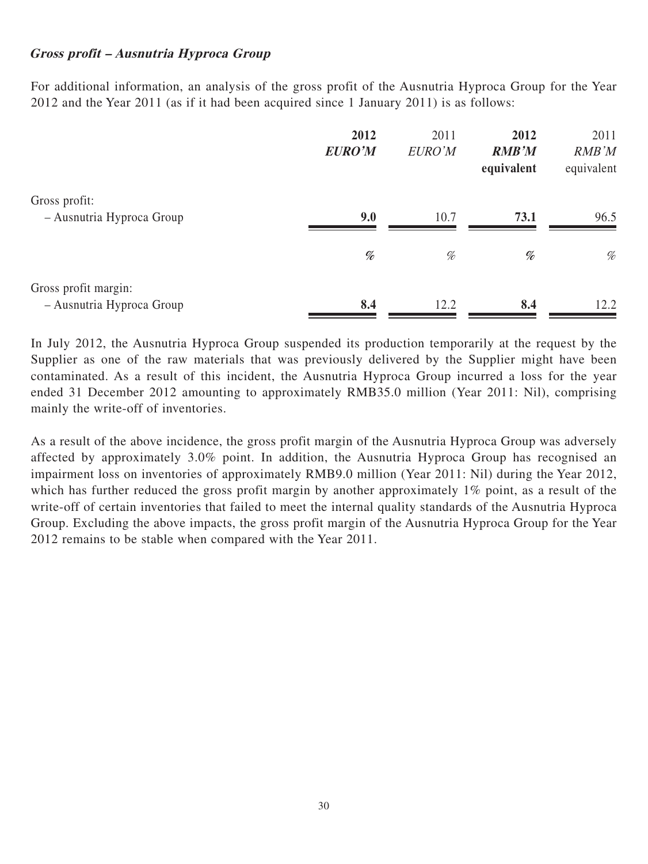### **Gross profit – Ausnutria Hyproca Group**

For additional information, an analysis of the gross profit of the Ausnutria Hyproca Group for the Year 2012 and the Year 2011 (as if it had been acquired since 1 January 2011) is as follows:

|                                                   | 2012<br><b>EURO'M</b> | 2011<br>EURO'M | 2012<br><b>RMB'M</b><br>equivalent                                                                                              | 2011<br>RMB'M<br>equivalent |
|---------------------------------------------------|-----------------------|----------------|---------------------------------------------------------------------------------------------------------------------------------|-----------------------------|
| Gross profit:<br>- Ausnutria Hyproca Group        | 9.0                   | 10.7           | 73.1                                                                                                                            | 96.5                        |
|                                                   | %                     | %              | $% \mathcal{P}_{\mathcal{A}}^{\mathcal{A}}\!\left( \mathcal{A} \right) = \mathcal{A}^{\mathcal{A}}\!\left( \mathcal{A} \right)$ | %                           |
| Gross profit margin:<br>- Ausnutria Hyproca Group | 8.4                   | 12.2           | 8.4                                                                                                                             | 12.2                        |

In July 2012, the Ausnutria Hyproca Group suspended its production temporarily at the request by the Supplier as one of the raw materials that was previously delivered by the Supplier might have been contaminated. As a result of this incident, the Ausnutria Hyproca Group incurred a loss for the year ended 31 December 2012 amounting to approximately RMB35.0 million (Year 2011: Nil), comprising mainly the write-off of inventories.

As a result of the above incidence, the gross profit margin of the Ausnutria Hyproca Group was adversely affected by approximately 3.0% point. In addition, the Ausnutria Hyproca Group has recognised an impairment loss on inventories of approximately RMB9.0 million (Year 2011: Nil) during the Year 2012, which has further reduced the gross profit margin by another approximately 1% point, as a result of the write-off of certain inventories that failed to meet the internal quality standards of the Ausnutria Hyproca Group. Excluding the above impacts, the gross profit margin of the Ausnutria Hyproca Group for the Year 2012 remains to be stable when compared with the Year 2011.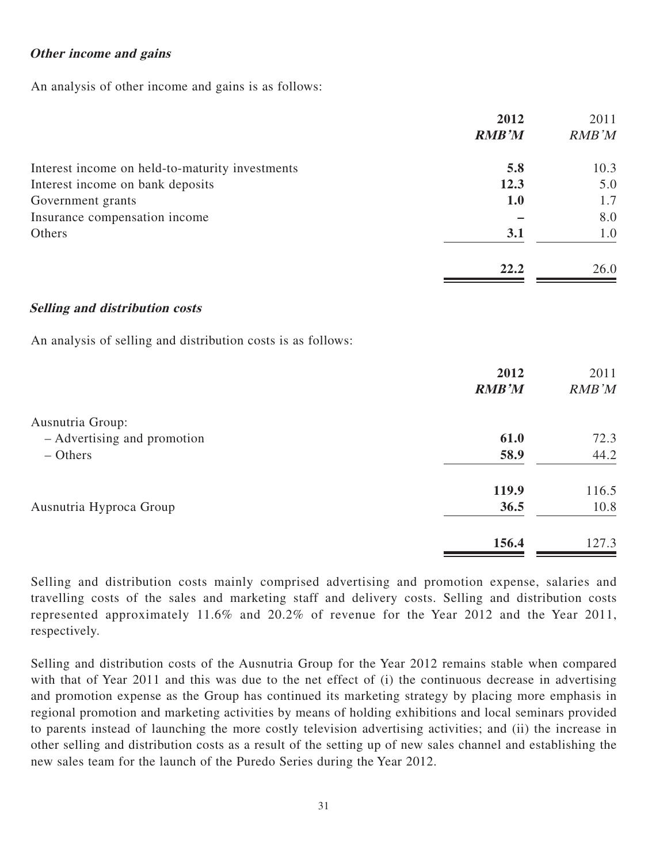### **Other income and gains**

An analysis of other income and gains is as follows:

|                                                 | 2012         | 2011  |
|-------------------------------------------------|--------------|-------|
|                                                 | <b>RMB'M</b> | RMB'M |
| Interest income on held-to-maturity investments | 5.8          | 10.3  |
| Interest income on bank deposits                | 12.3         | 5.0   |
| Government grants                               | <b>1.0</b>   | 1.7   |
| Insurance compensation income                   |              | 8.0   |
| Others                                          | 3.1          | 1.0   |
|                                                 | 22.2         | 26.0  |

#### **Selling and distribution costs**

An analysis of selling and distribution costs is as follows:

| 2012<br>2011<br><b>RMB'M</b><br>RMB'M |
|---------------------------------------|
|                                       |
| 72.3<br>61.0                          |
| 58.9<br>44.2                          |
| 119.9<br>116.5                        |
| 36.5<br>10.8                          |
| 156.4<br>127.3                        |
|                                       |

Selling and distribution costs mainly comprised advertising and promotion expense, salaries and travelling costs of the sales and marketing staff and delivery costs. Selling and distribution costs represented approximately 11.6% and 20.2% of revenue for the Year 2012 and the Year 2011, respectively.

Selling and distribution costs of the Ausnutria Group for the Year 2012 remains stable when compared with that of Year 2011 and this was due to the net effect of (i) the continuous decrease in advertising and promotion expense as the Group has continued its marketing strategy by placing more emphasis in regional promotion and marketing activities by means of holding exhibitions and local seminars provided to parents instead of launching the more costly television advertising activities; and (ii) the increase in other selling and distribution costs as a result of the setting up of new sales channel and establishing the new sales team for the launch of the Puredo Series during the Year 2012.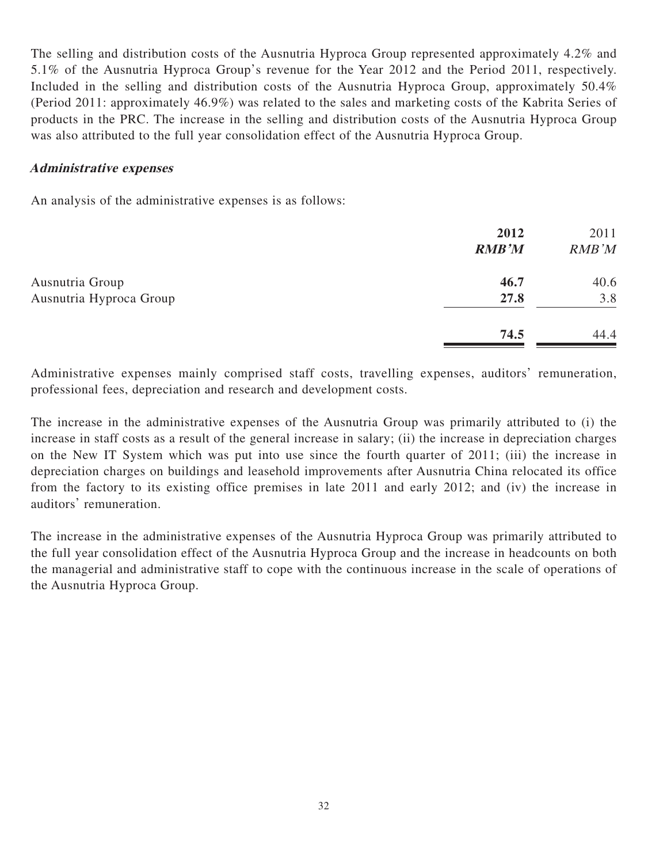The selling and distribution costs of the Ausnutria Hyproca Group represented approximately 4.2% and 5.1% of the Ausnutria Hyproca Group's revenue for the Year 2012 and the Period 2011, respectively. Included in the selling and distribution costs of the Ausnutria Hyproca Group, approximately 50.4% (Period 2011: approximately 46.9%) was related to the sales and marketing costs of the Kabrita Series of products in the PRC. The increase in the selling and distribution costs of the Ausnutria Hyproca Group was also attributed to the full year consolidation effect of the Ausnutria Hyproca Group.

#### **Administrative expenses**

An analysis of the administrative expenses is as follows:

|                         | 2012         | 2011  |
|-------------------------|--------------|-------|
|                         | <b>RMB'M</b> | RMB'M |
| Ausnutria Group         | 46.7         | 40.6  |
| Ausnutria Hyproca Group | 27.8         | 3.8   |
|                         | 74.5         | 44.4  |
|                         |              |       |

Administrative expenses mainly comprised staff costs, travelling expenses, auditors' remuneration, professional fees, depreciation and research and development costs.

The increase in the administrative expenses of the Ausnutria Group was primarily attributed to (i) the increase in staff costs as a result of the general increase in salary; (ii) the increase in depreciation charges on the New IT System which was put into use since the fourth quarter of 2011; (iii) the increase in depreciation charges on buildings and leasehold improvements after Ausnutria China relocated its office from the factory to its existing office premises in late 2011 and early 2012; and (iv) the increase in auditors' remuneration.

The increase in the administrative expenses of the Ausnutria Hyproca Group was primarily attributed to the full year consolidation effect of the Ausnutria Hyproca Group and the increase in headcounts on both the managerial and administrative staff to cope with the continuous increase in the scale of operations of the Ausnutria Hyproca Group.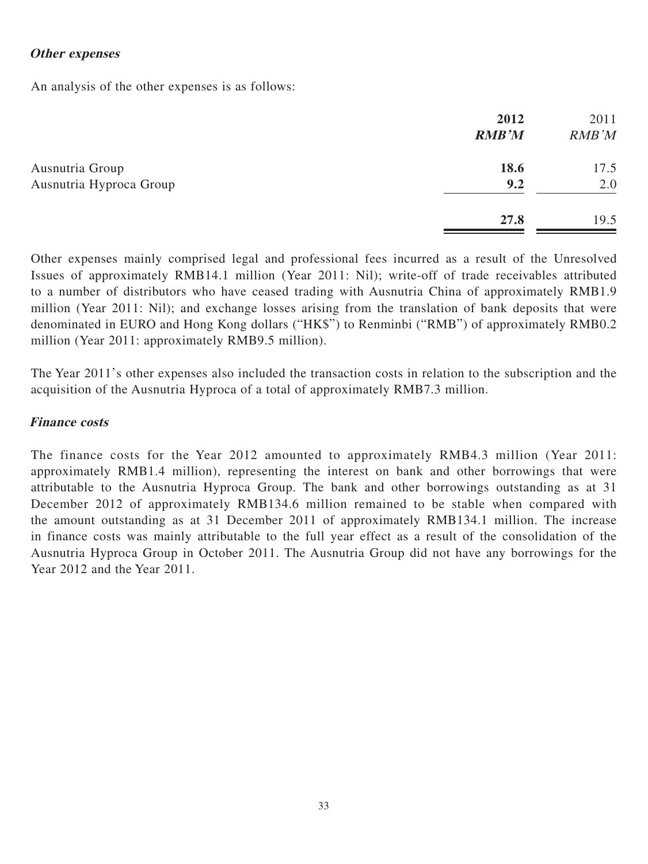### **Other expenses**

An analysis of the other expenses is as follows:

|                         | 2012<br><b>RMB'M</b> | 2011<br>RMB'M |
|-------------------------|----------------------|---------------|
| Ausnutria Group         | 18.6                 | 17.5          |
| Ausnutria Hyproca Group | 9.2                  | 2.0           |
|                         | 27.8                 | 19.5          |

Other expenses mainly comprised legal and professional fees incurred as a result of the Unresolved Issues of approximately RMB14.1 million (Year 2011: Nil); write-off of trade receivables attributed to a number of distributors who have ceased trading with Ausnutria China of approximately RMB1.9 million (Year 2011: Nil); and exchange losses arising from the translation of bank deposits that were denominated in EURO and Hong Kong dollars ("HK\$") to Renminbi ("RMB") of approximately RMB0.2 million (Year 2011: approximately RMB9.5 million).

The Year 2011's other expenses also included the transaction costs in relation to the subscription and the acquisition of the Ausnutria Hyproca of a total of approximately RMB7.3 million.

#### **Finance costs**

The finance costs for the Year 2012 amounted to approximately RMB4.3 million (Year 2011: approximately RMB1.4 million), representing the interest on bank and other borrowings that were attributable to the Ausnutria Hyproca Group. The bank and other borrowings outstanding as at 31 December 2012 of approximately RMB134.6 million remained to be stable when compared with the amount outstanding as at 31 December 2011 of approximately RMB134.1 million. The increase in finance costs was mainly attributable to the full year effect as a result of the consolidation of the Ausnutria Hyproca Group in October 2011. The Ausnutria Group did not have any borrowings for the Year 2012 and the Year 2011.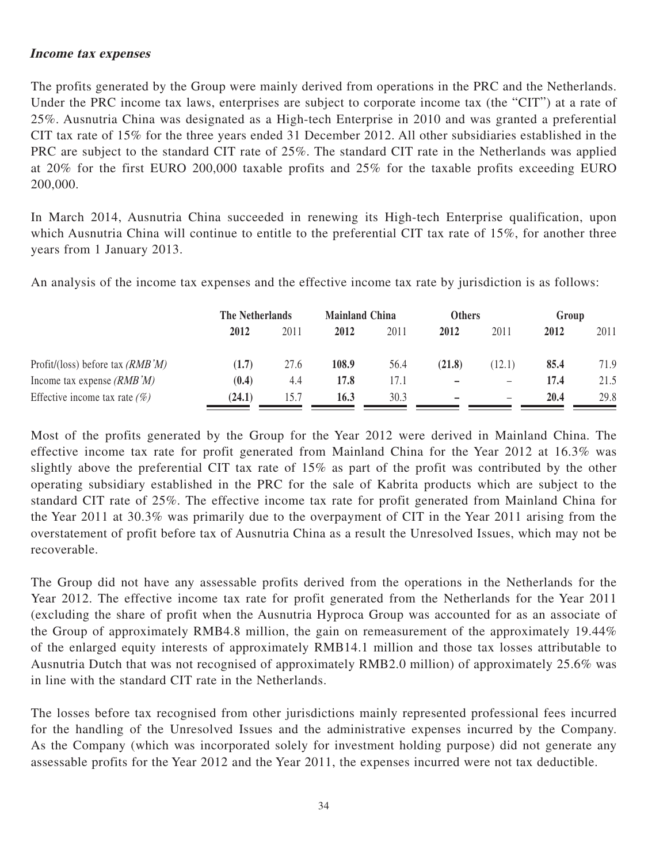#### **Income tax expenses**

The profits generated by the Group were mainly derived from operations in the PRC and the Netherlands. Under the PRC income tax laws, enterprises are subject to corporate income tax (the "CIT") at a rate of 25%. Ausnutria China was designated as a High-tech Enterprise in 2010 and was granted a preferential CIT tax rate of 15% for the three years ended 31 December 2012. All other subsidiaries established in the PRC are subject to the standard CIT rate of 25%. The standard CIT rate in the Netherlands was applied at 20% for the first EURO 200,000 taxable profits and 25% for the taxable profits exceeding EURO 200,000.

In March 2014, Ausnutria China succeeded in renewing its High-tech Enterprise qualification, upon which Ausnutria China will continue to entitle to the preferential CIT tax rate of 15%, for another three years from 1 January 2013.

An analysis of the income tax expenses and the effective income tax rate by jurisdiction is as follows:

|                                    | The Netherlands |      | <b>Mainland China</b> |      | <b>Others</b> |                   | Group |      |
|------------------------------------|-----------------|------|-----------------------|------|---------------|-------------------|-------|------|
|                                    | 2012            | 2011 | 2012                  | 2011 | 2012          | 2011              | 2012  | 2011 |
| Profit/(loss) before tax $(RMB'M)$ | (1.7)           | 27.6 | 108.9                 | 56.4 | (21.8)        | (12.1)            | 85.4  | 71.9 |
| Income tax expense $(RMB'M)$       | (0.4)           | 4.4  | 17.8                  | 17.1 | -             | $\qquad \qquad -$ | 17.4  | 21.5 |
| Effective income tax rate $(\%)$   | (24.1)          | 15.7 | 16.3                  | 30.3 | -             | $\qquad \qquad -$ | 20.4  | 29.8 |

Most of the profits generated by the Group for the Year 2012 were derived in Mainland China. The effective income tax rate for profit generated from Mainland China for the Year 2012 at 16.3% was slightly above the preferential CIT tax rate of 15% as part of the profit was contributed by the other operating subsidiary established in the PRC for the sale of Kabrita products which are subject to the standard CIT rate of 25%. The effective income tax rate for profit generated from Mainland China for the Year 2011 at 30.3% was primarily due to the overpayment of CIT in the Year 2011 arising from the overstatement of profit before tax of Ausnutria China as a result the Unresolved Issues, which may not be recoverable.

The Group did not have any assessable profits derived from the operations in the Netherlands for the Year 2012. The effective income tax rate for profit generated from the Netherlands for the Year 2011 (excluding the share of profit when the Ausnutria Hyproca Group was accounted for as an associate of the Group of approximately RMB4.8 million, the gain on remeasurement of the approximately 19.44% of the enlarged equity interests of approximately RMB14.1 million and those tax losses attributable to Ausnutria Dutch that was not recognised of approximately RMB2.0 million) of approximately 25.6% was in line with the standard CIT rate in the Netherlands.

The losses before tax recognised from other jurisdictions mainly represented professional fees incurred for the handling of the Unresolved Issues and the administrative expenses incurred by the Company. As the Company (which was incorporated solely for investment holding purpose) did not generate any assessable profits for the Year 2012 and the Year 2011, the expenses incurred were not tax deductible.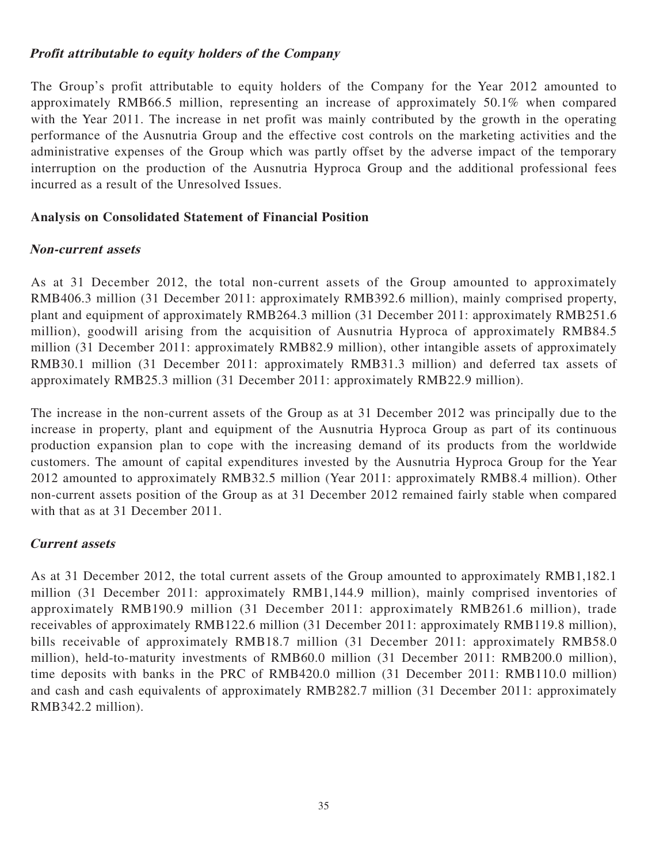### **Profit attributable to equity holders of the Company**

The Group's profit attributable to equity holders of the Company for the Year 2012 amounted to approximately RMB66.5 million, representing an increase of approximately 50.1% when compared with the Year 2011. The increase in net profit was mainly contributed by the growth in the operating performance of the Ausnutria Group and the effective cost controls on the marketing activities and the administrative expenses of the Group which was partly offset by the adverse impact of the temporary interruption on the production of the Ausnutria Hyproca Group and the additional professional fees incurred as a result of the Unresolved Issues.

### **Analysis on Consolidated Statement of Financial Position**

### **Non-current assets**

As at 31 December 2012, the total non-current assets of the Group amounted to approximately RMB406.3 million (31 December 2011: approximately RMB392.6 million), mainly comprised property, plant and equipment of approximately RMB264.3 million (31 December 2011: approximately RMB251.6 million), goodwill arising from the acquisition of Ausnutria Hyproca of approximately RMB84.5 million (31 December 2011: approximately RMB82.9 million), other intangible assets of approximately RMB30.1 million (31 December 2011: approximately RMB31.3 million) and deferred tax assets of approximately RMB25.3 million (31 December 2011: approximately RMB22.9 million).

The increase in the non-current assets of the Group as at 31 December 2012 was principally due to the increase in property, plant and equipment of the Ausnutria Hyproca Group as part of its continuous production expansion plan to cope with the increasing demand of its products from the worldwide customers. The amount of capital expenditures invested by the Ausnutria Hyproca Group for the Year 2012 amounted to approximately RMB32.5 million (Year 2011: approximately RMB8.4 million). Other non-current assets position of the Group as at 31 December 2012 remained fairly stable when compared with that as at 31 December 2011.

## **Current assets**

As at 31 December 2012, the total current assets of the Group amounted to approximately RMB1,182.1 million (31 December 2011: approximately RMB1,144.9 million), mainly comprised inventories of approximately RMB190.9 million (31 December 2011: approximately RMB261.6 million), trade receivables of approximately RMB122.6 million (31 December 2011: approximately RMB119.8 million), bills receivable of approximately RMB18.7 million (31 December 2011: approximately RMB58.0 million), held-to-maturity investments of RMB60.0 million (31 December 2011: RMB200.0 million), time deposits with banks in the PRC of RMB420.0 million (31 December 2011: RMB110.0 million) and cash and cash equivalents of approximately RMB282.7 million (31 December 2011: approximately RMB342.2 million).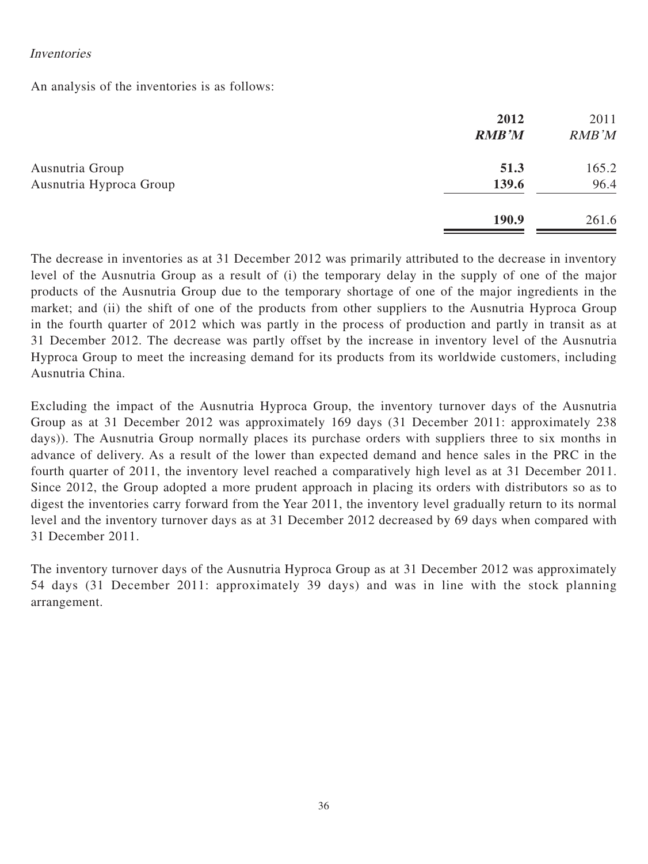#### Inventories

An analysis of the inventories is as follows:

|                                            | 2012<br><b>RMB'M</b> | 2011<br>RMB'M |
|--------------------------------------------|----------------------|---------------|
| Ausnutria Group<br>Ausnutria Hyproca Group | 51.3<br>139.6        | 165.2<br>96.4 |
|                                            | 190.9                | 261.6         |

The decrease in inventories as at 31 December 2012 was primarily attributed to the decrease in inventory level of the Ausnutria Group as a result of (i) the temporary delay in the supply of one of the major products of the Ausnutria Group due to the temporary shortage of one of the major ingredients in the market; and (ii) the shift of one of the products from other suppliers to the Ausnutria Hyproca Group in the fourth quarter of 2012 which was partly in the process of production and partly in transit as at 31 December 2012. The decrease was partly offset by the increase in inventory level of the Ausnutria Hyproca Group to meet the increasing demand for its products from its worldwide customers, including Ausnutria China.

Excluding the impact of the Ausnutria Hyproca Group, the inventory turnover days of the Ausnutria Group as at 31 December 2012 was approximately 169 days (31 December 2011: approximately 238 days)). The Ausnutria Group normally places its purchase orders with suppliers three to six months in advance of delivery. As a result of the lower than expected demand and hence sales in the PRC in the fourth quarter of 2011, the inventory level reached a comparatively high level as at 31 December 2011. Since 2012, the Group adopted a more prudent approach in placing its orders with distributors so as to digest the inventories carry forward from the Year 2011, the inventory level gradually return to its normal level and the inventory turnover days as at 31 December 2012 decreased by 69 days when compared with 31 December 2011.

The inventory turnover days of the Ausnutria Hyproca Group as at 31 December 2012 was approximately 54 days (31 December 2011: approximately 39 days) and was in line with the stock planning arrangement.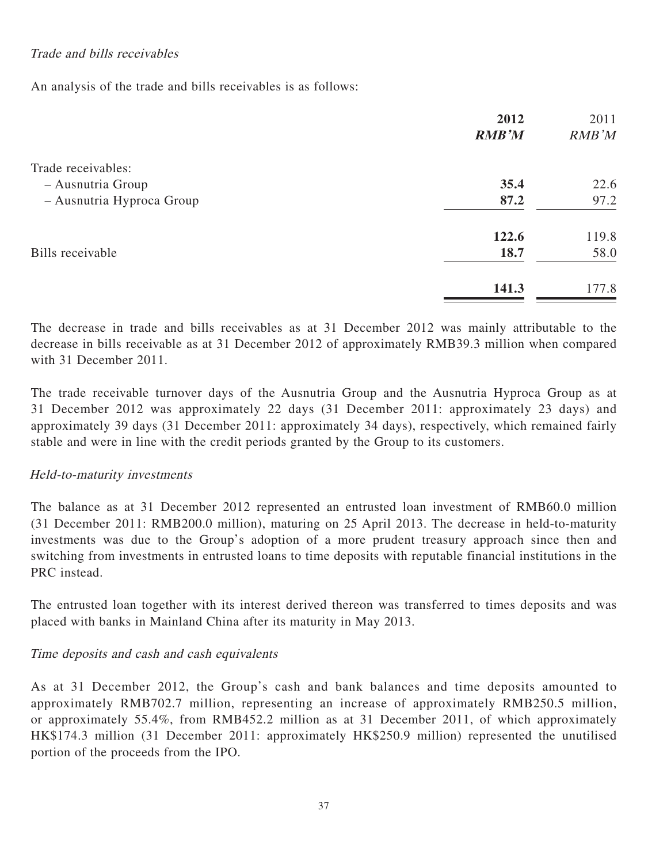# Trade and bills receivables

An analysis of the trade and bills receivables is as follows:

|                           | 2012         | 2011  |
|---------------------------|--------------|-------|
|                           | <b>RMB'M</b> | RMB'M |
| Trade receivables:        |              |       |
| - Ausnutria Group         | 35.4         | 22.6  |
| - Ausnutria Hyproca Group | 87.2         | 97.2  |
|                           | 122.6        | 119.8 |
| Bills receivable          | 18.7         | 58.0  |
|                           | 141.3        | 177.8 |

The decrease in trade and bills receivables as at 31 December 2012 was mainly attributable to the decrease in bills receivable as at 31 December 2012 of approximately RMB39.3 million when compared with 31 December 2011.

The trade receivable turnover days of the Ausnutria Group and the Ausnutria Hyproca Group as at 31 December 2012 was approximately 22 days (31 December 2011: approximately 23 days) and approximately 39 days (31 December 2011: approximately 34 days), respectively, which remained fairly stable and were in line with the credit periods granted by the Group to its customers.

## Held-to-maturity investments

The balance as at 31 December 2012 represented an entrusted loan investment of RMB60.0 million (31 December 2011: RMB200.0 million), maturing on 25 April 2013. The decrease in held-to-maturity investments was due to the Group's adoption of a more prudent treasury approach since then and switching from investments in entrusted loans to time deposits with reputable financial institutions in the PRC instead.

The entrusted loan together with its interest derived thereon was transferred to times deposits and was placed with banks in Mainland China after its maturity in May 2013.

## Time deposits and cash and cash equivalents

As at 31 December 2012, the Group's cash and bank balances and time deposits amounted to approximately RMB702.7 million, representing an increase of approximately RMB250.5 million, or approximately 55.4%, from RMB452.2 million as at 31 December 2011, of which approximately HK\$174.3 million (31 December 2011: approximately HK\$250.9 million) represented the unutilised portion of the proceeds from the IPO.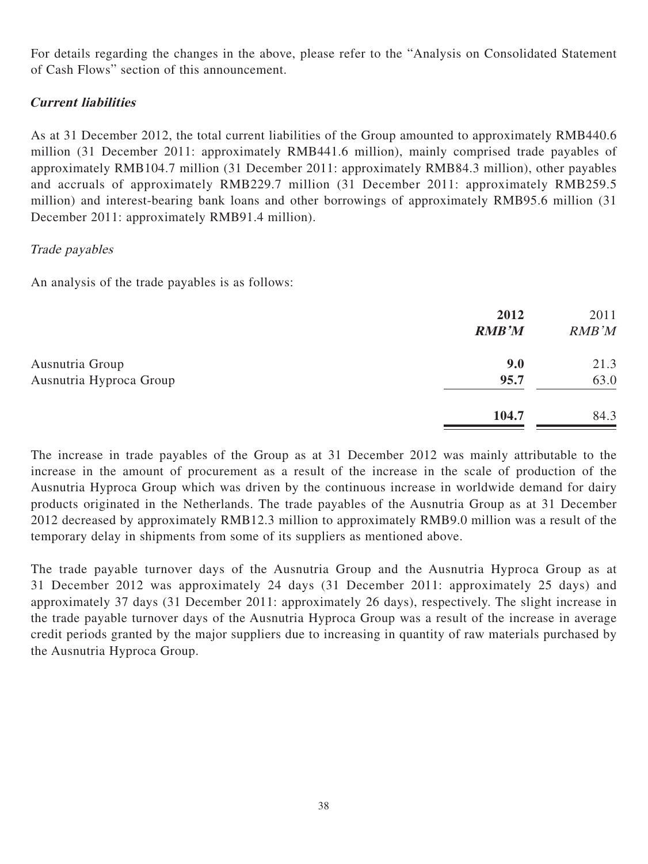For details regarding the changes in the above, please refer to the "Analysis on Consolidated Statement of Cash Flows" section of this announcement.

# **Current liabilities**

As at 31 December 2012, the total current liabilities of the Group amounted to approximately RMB440.6 million (31 December 2011: approximately RMB441.6 million), mainly comprised trade payables of approximately RMB104.7 million (31 December 2011: approximately RMB84.3 million), other payables and accruals of approximately RMB229.7 million (31 December 2011: approximately RMB259.5 million) and interest-bearing bank loans and other borrowings of approximately RMB95.6 million (31 December 2011: approximately RMB91.4 million).

## Trade payables

An analysis of the trade payables is as follows:

|                         | 2012<br><b>RMB'M</b> | 2011<br>RMB'M |
|-------------------------|----------------------|---------------|
| Ausnutria Group         | 9.0                  | 21.3          |
| Ausnutria Hyproca Group | 95.7                 | 63.0          |
|                         | 104.7                | 84.3          |

The increase in trade payables of the Group as at 31 December 2012 was mainly attributable to the increase in the amount of procurement as a result of the increase in the scale of production of the Ausnutria Hyproca Group which was driven by the continuous increase in worldwide demand for dairy products originated in the Netherlands. The trade payables of the Ausnutria Group as at 31 December 2012 decreased by approximately RMB12.3 million to approximately RMB9.0 million was a result of the temporary delay in shipments from some of its suppliers as mentioned above.

The trade payable turnover days of the Ausnutria Group and the Ausnutria Hyproca Group as at 31 December 2012 was approximately 24 days (31 December 2011: approximately 25 days) and approximately 37 days (31 December 2011: approximately 26 days), respectively. The slight increase in the trade payable turnover days of the Ausnutria Hyproca Group was a result of the increase in average credit periods granted by the major suppliers due to increasing in quantity of raw materials purchased by the Ausnutria Hyproca Group.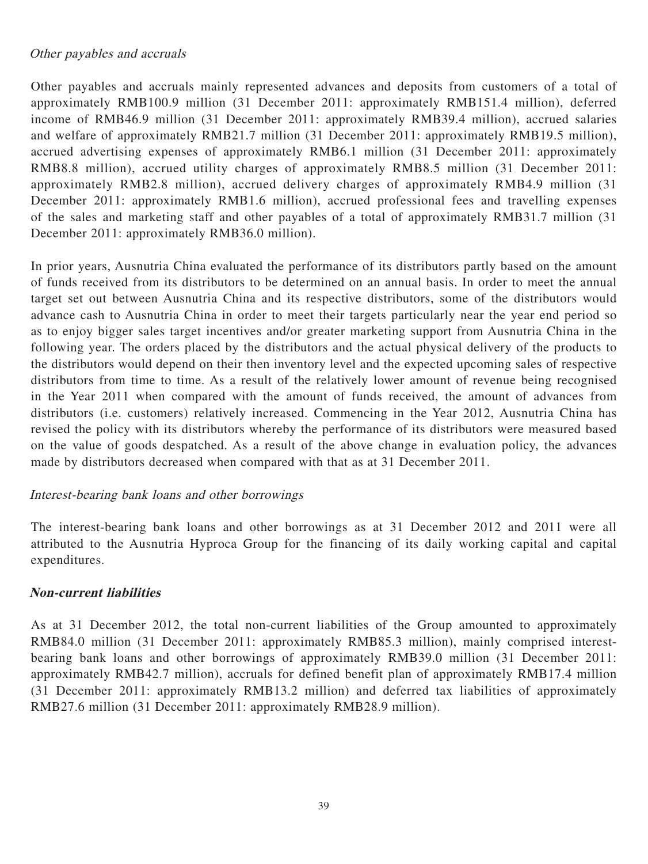## Other payables and accruals

Other payables and accruals mainly represented advances and deposits from customers of a total of approximately RMB100.9 million (31 December 2011: approximately RMB151.4 million), deferred income of RMB46.9 million (31 December 2011: approximately RMB39.4 million), accrued salaries and welfare of approximately RMB21.7 million (31 December 2011: approximately RMB19.5 million), accrued advertising expenses of approximately RMB6.1 million (31 December 2011: approximately RMB8.8 million), accrued utility charges of approximately RMB8.5 million (31 December 2011: approximately RMB2.8 million), accrued delivery charges of approximately RMB4.9 million (31 December 2011: approximately RMB1.6 million), accrued professional fees and travelling expenses of the sales and marketing staff and other payables of a total of approximately RMB31.7 million (31 December 2011: approximately RMB36.0 million).

In prior years, Ausnutria China evaluated the performance of its distributors partly based on the amount of funds received from its distributors to be determined on an annual basis. In order to meet the annual target set out between Ausnutria China and its respective distributors, some of the distributors would advance cash to Ausnutria China in order to meet their targets particularly near the year end period so as to enjoy bigger sales target incentives and/or greater marketing support from Ausnutria China in the following year. The orders placed by the distributors and the actual physical delivery of the products to the distributors would depend on their then inventory level and the expected upcoming sales of respective distributors from time to time. As a result of the relatively lower amount of revenue being recognised in the Year 2011 when compared with the amount of funds received, the amount of advances from distributors (i.e. customers) relatively increased. Commencing in the Year 2012, Ausnutria China has revised the policy with its distributors whereby the performance of its distributors were measured based on the value of goods despatched. As a result of the above change in evaluation policy, the advances made by distributors decreased when compared with that as at 31 December 2011.

#### Interest-bearing bank loans and other borrowings

The interest-bearing bank loans and other borrowings as at 31 December 2012 and 2011 were all attributed to the Ausnutria Hyproca Group for the financing of its daily working capital and capital expenditures.

## **Non-current liabilities**

As at 31 December 2012, the total non-current liabilities of the Group amounted to approximately RMB84.0 million (31 December 2011: approximately RMB85.3 million), mainly comprised interestbearing bank loans and other borrowings of approximately RMB39.0 million (31 December 2011: approximately RMB42.7 million), accruals for defined benefit plan of approximately RMB17.4 million (31 December 2011: approximately RMB13.2 million) and deferred tax liabilities of approximately RMB27.6 million (31 December 2011: approximately RMB28.9 million).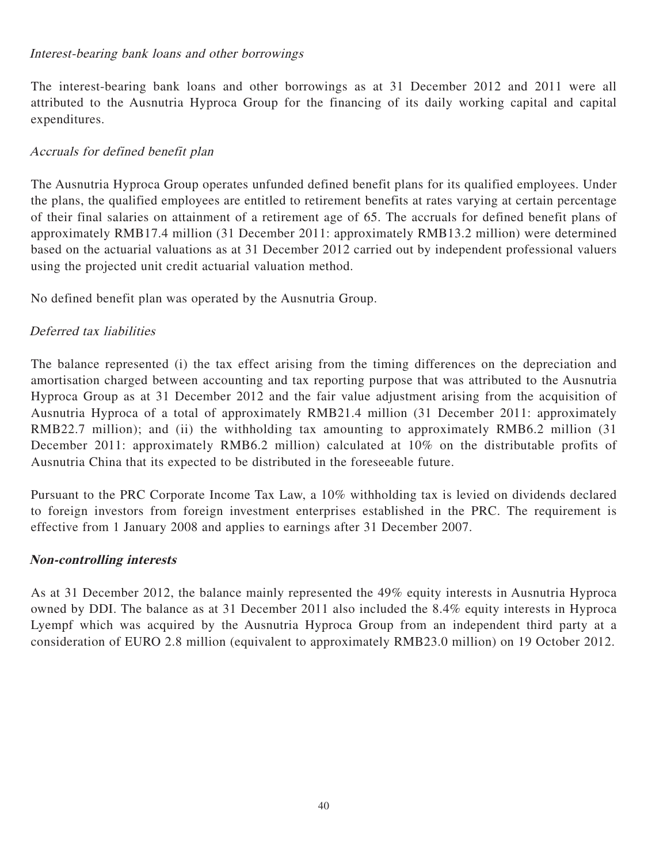### Interest-bearing bank loans and other borrowings

The interest-bearing bank loans and other borrowings as at 31 December 2012 and 2011 were all attributed to the Ausnutria Hyproca Group for the financing of its daily working capital and capital expenditures.

# Accruals for defined benefit plan

The Ausnutria Hyproca Group operates unfunded defined benefit plans for its qualified employees. Under the plans, the qualified employees are entitled to retirement benefits at rates varying at certain percentage of their final salaries on attainment of a retirement age of 65. The accruals for defined benefit plans of approximately RMB17.4 million (31 December 2011: approximately RMB13.2 million) were determined based on the actuarial valuations as at 31 December 2012 carried out by independent professional valuers using the projected unit credit actuarial valuation method.

No defined benefit plan was operated by the Ausnutria Group.

## Deferred tax liabilities

The balance represented (i) the tax effect arising from the timing differences on the depreciation and amortisation charged between accounting and tax reporting purpose that was attributed to the Ausnutria Hyproca Group as at 31 December 2012 and the fair value adjustment arising from the acquisition of Ausnutria Hyproca of a total of approximately RMB21.4 million (31 December 2011: approximately RMB22.7 million); and (ii) the withholding tax amounting to approximately RMB6.2 million (31) December 2011: approximately RMB6.2 million) calculated at 10% on the distributable profits of Ausnutria China that its expected to be distributed in the foreseeable future.

Pursuant to the PRC Corporate Income Tax Law, a 10% withholding tax is levied on dividends declared to foreign investors from foreign investment enterprises established in the PRC. The requirement is effective from 1 January 2008 and applies to earnings after 31 December 2007.

## **Non-controlling interests**

As at 31 December 2012, the balance mainly represented the 49% equity interests in Ausnutria Hyproca owned by DDI. The balance as at 31 December 2011 also included the 8.4% equity interests in Hyproca Lyempf which was acquired by the Ausnutria Hyproca Group from an independent third party at a consideration of EURO 2.8 million (equivalent to approximately RMB23.0 million) on 19 October 2012.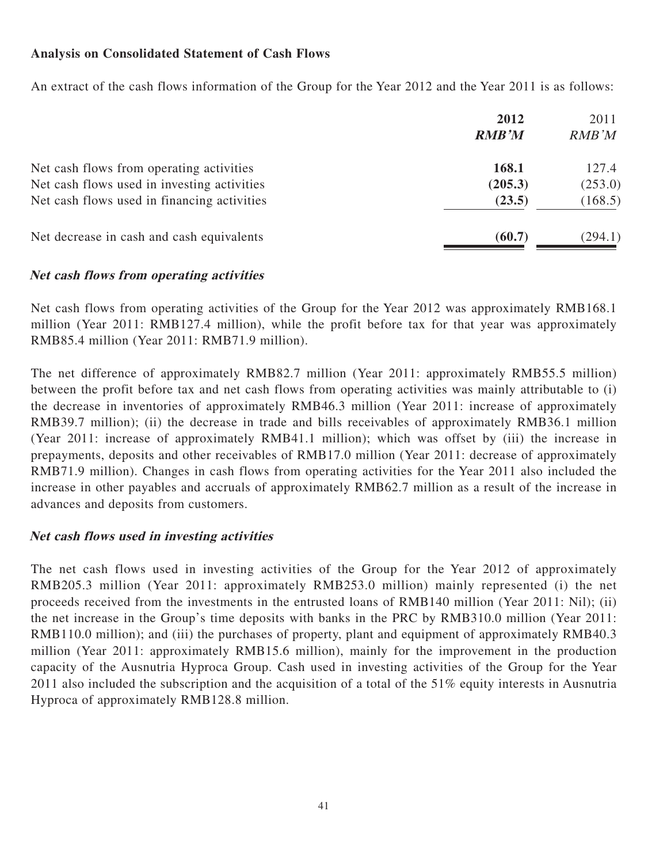## **Analysis on Consolidated Statement of Cash Flows**

An extract of the cash flows information of the Group for the Year 2012 and the Year 2011 is as follows:

|                                             | 2012<br><b>RMB'M</b> | 2011<br>RMB'M |
|---------------------------------------------|----------------------|---------------|
| Net cash flows from operating activities    | 168.1                | 127.4         |
| Net cash flows used in investing activities | (205.3)              | (253.0)       |
| Net cash flows used in financing activities | (23.5)               | (168.5)       |
| Net decrease in cash and cash equivalents   | (60.7)               | (294.1)       |

### **Net cash flows from operating activities**

Net cash flows from operating activities of the Group for the Year 2012 was approximately RMB168.1 million (Year 2011: RMB127.4 million), while the profit before tax for that year was approximately RMB85.4 million (Year 2011: RMB71.9 million).

The net difference of approximately RMB82.7 million (Year 2011: approximately RMB55.5 million) between the profit before tax and net cash flows from operating activities was mainly attributable to (i) the decrease in inventories of approximately RMB46.3 million (Year 2011: increase of approximately RMB39.7 million); (ii) the decrease in trade and bills receivables of approximately RMB36.1 million (Year 2011: increase of approximately RMB41.1 million); which was offset by (iii) the increase in prepayments, deposits and other receivables of RMB17.0 million (Year 2011: decrease of approximately RMB71.9 million). Changes in cash flows from operating activities for the Year 2011 also included the increase in other payables and accruals of approximately RMB62.7 million as a result of the increase in advances and deposits from customers.

## **Net cash flows used in investing activities**

The net cash flows used in investing activities of the Group for the Year 2012 of approximately RMB205.3 million (Year 2011: approximately RMB253.0 million) mainly represented (i) the net proceeds received from the investments in the entrusted loans of RMB140 million (Year 2011: Nil); (ii) the net increase in the Group's time deposits with banks in the PRC by RMB310.0 million (Year 2011: RMB110.0 million); and (iii) the purchases of property, plant and equipment of approximately RMB40.3 million (Year 2011: approximately RMB15.6 million), mainly for the improvement in the production capacity of the Ausnutria Hyproca Group. Cash used in investing activities of the Group for the Year 2011 also included the subscription and the acquisition of a total of the 51% equity interests in Ausnutria Hyproca of approximately RMB128.8 million.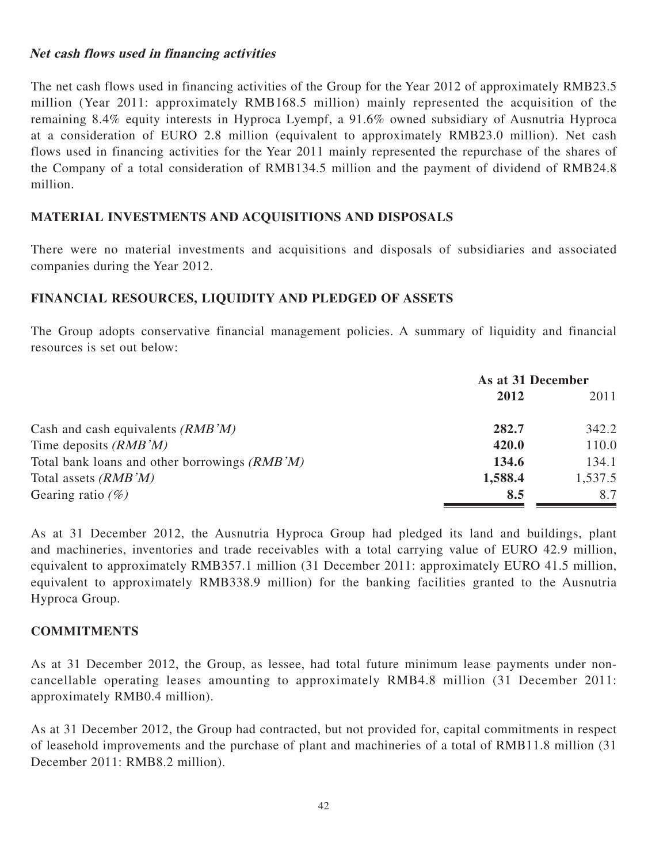### **Net cash flows used in financing activities**

The net cash flows used in financing activities of the Group for the Year 2012 of approximately RMB23.5 million (Year 2011: approximately RMB168.5 million) mainly represented the acquisition of the remaining 8.4% equity interests in Hyproca Lyempf, a 91.6% owned subsidiary of Ausnutria Hyproca at a consideration of EURO 2.8 million (equivalent to approximately RMB23.0 million). Net cash flows used in financing activities for the Year 2011 mainly represented the repurchase of the shares of the Company of a total consideration of RMB134.5 million and the payment of dividend of RMB24.8 million.

# **MATERIAL INVESTMENTS AND ACQUISITIONS AND DISPOSALS**

There were no material investments and acquisitions and disposals of subsidiaries and associated companies during the Year 2012.

## **FINANCIAL RESOURCES, LIQUIDITY AND PLEDGED OF ASSETS**

The Group adopts conservative financial management policies. A summary of liquidity and financial resources is set out below:

|                                               | As at 31 December |         |
|-----------------------------------------------|-------------------|---------|
|                                               | 2012              | 2011    |
| Cash and cash equivalents $(RMB'M)$           | 282.7             | 342.2   |
| Time deposits $(RMB'M)$                       | 420.0             | 110.0   |
| Total bank loans and other borrowings (RMB'M) | 134.6             | 134.1   |
| Total assets <i>(RMB'M)</i>                   | 1,588.4           | 1,537.5 |
| Gearing ratio $(\%)$                          | 8.5               | 8.7     |

As at 31 December 2012, the Ausnutria Hyproca Group had pledged its land and buildings, plant and machineries, inventories and trade receivables with a total carrying value of EURO 42.9 million, equivalent to approximately RMB357.1 million (31 December 2011: approximately EURO 41.5 million, equivalent to approximately RMB338.9 million) for the banking facilities granted to the Ausnutria Hyproca Group.

#### **COMMITMENTS**

As at 31 December 2012, the Group, as lessee, had total future minimum lease payments under noncancellable operating leases amounting to approximately RMB4.8 million (31 December 2011: approximately RMB0.4 million).

As at 31 December 2012, the Group had contracted, but not provided for, capital commitments in respect of leasehold improvements and the purchase of plant and machineries of a total of RMB11.8 million (31 December 2011: RMB8.2 million).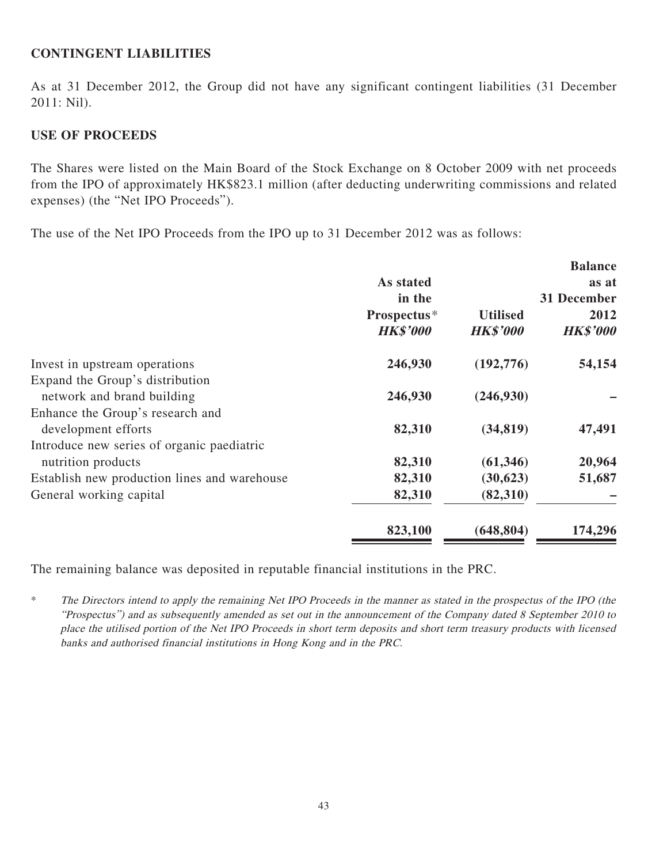### **CONTINGENT LIABILITIES**

As at 31 December 2012, the Group did not have any significant contingent liabilities (31 December 2011: Nil).

### **USE OF PROCEEDS**

The Shares were listed on the Main Board of the Stock Exchange on 8 October 2009 with net proceeds from the IPO of approximately HK\$823.1 million (after deducting underwriting commissions and related expenses) (the "Net IPO Proceeds").

The use of the Net IPO Proceeds from the IPO up to 31 December 2012 was as follows:

|                                              |                 |                 | <b>Balance</b>  |
|----------------------------------------------|-----------------|-----------------|-----------------|
|                                              | As stated       |                 | as at           |
|                                              | in the          |                 | 31 December     |
|                                              | Prospectus*     | <b>Utilised</b> | 2012            |
|                                              | <b>HK\$'000</b> | <b>HK\$'000</b> | <b>HK\$'000</b> |
| Invest in upstream operations                | 246,930         | (192, 776)      | 54,154          |
| Expand the Group's distribution              |                 |                 |                 |
| network and brand building                   | 246,930         | (246,930)       |                 |
| Enhance the Group's research and             |                 |                 |                 |
| development efforts                          | 82,310          | (34, 819)       | 47,491          |
| Introduce new series of organic paediatric   |                 |                 |                 |
| nutrition products                           | 82,310          | (61, 346)       | 20,964          |
| Establish new production lines and warehouse | 82,310          | (30,623)        | 51,687          |
| General working capital                      | 82,310          | (82,310)        |                 |
|                                              | 823,100         | (648, 804)      | 174,296         |

The remaining balance was deposited in reputable financial institutions in the PRC.

\* The Directors intend to apply the remaining Net IPO Proceeds in the manner as stated in the prospectus of the IPO (the "Prospectus") and as subsequently amended as set out in the announcement of the Company dated 8 September 2010 to place the utilised portion of the Net IPO Proceeds in short term deposits and short term treasury products with licensed banks and authorised financial institutions in Hong Kong and in the PRC.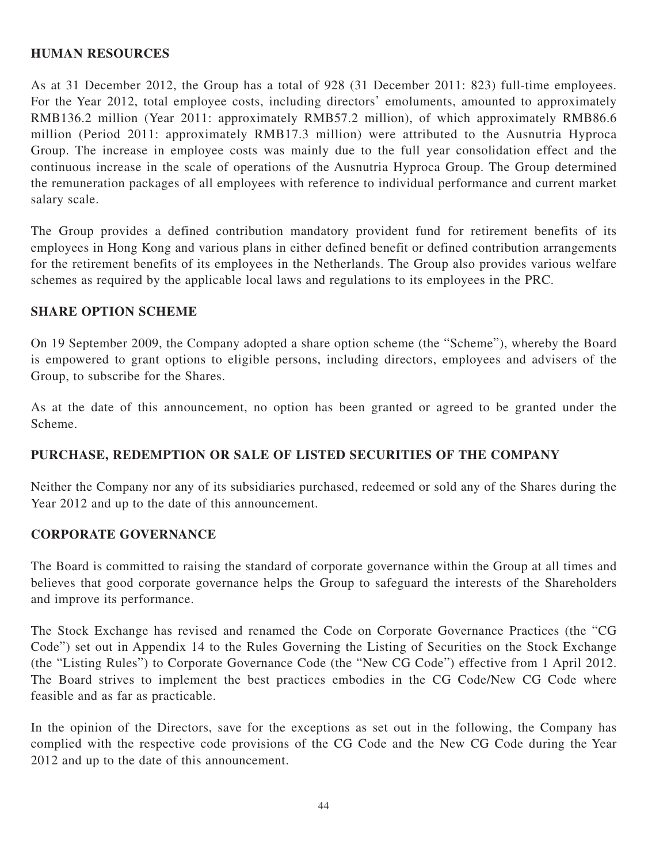### **HUMAN RESOURCES**

As at 31 December 2012, the Group has a total of 928 (31 December 2011: 823) full-time employees. For the Year 2012, total employee costs, including directors' emoluments, amounted to approximately RMB136.2 million (Year 2011: approximately RMB57.2 million), of which approximately RMB86.6 million (Period 2011: approximately RMB17.3 million) were attributed to the Ausnutria Hyproca Group. The increase in employee costs was mainly due to the full year consolidation effect and the continuous increase in the scale of operations of the Ausnutria Hyproca Group. The Group determined the remuneration packages of all employees with reference to individual performance and current market salary scale.

The Group provides a defined contribution mandatory provident fund for retirement benefits of its employees in Hong Kong and various plans in either defined benefit or defined contribution arrangements for the retirement benefits of its employees in the Netherlands. The Group also provides various welfare schemes as required by the applicable local laws and regulations to its employees in the PRC.

#### **SHARE OPTION SCHEME**

On 19 September 2009, the Company adopted a share option scheme (the "Scheme"), whereby the Board is empowered to grant options to eligible persons, including directors, employees and advisers of the Group, to subscribe for the Shares.

As at the date of this announcement, no option has been granted or agreed to be granted under the Scheme.

# **PURCHASE, REDEMPTION OR SALE OF LISTED SECURITIES OF THE COMPANY**

Neither the Company nor any of its subsidiaries purchased, redeemed or sold any of the Shares during the Year 2012 and up to the date of this announcement.

## **CORPORATE GOVERNANCE**

The Board is committed to raising the standard of corporate governance within the Group at all times and believes that good corporate governance helps the Group to safeguard the interests of the Shareholders and improve its performance.

The Stock Exchange has revised and renamed the Code on Corporate Governance Practices (the "CG Code") set out in Appendix 14 to the Rules Governing the Listing of Securities on the Stock Exchange (the "Listing Rules") to Corporate Governance Code (the "New CG Code") effective from 1 April 2012. The Board strives to implement the best practices embodies in the CG Code/New CG Code where feasible and as far as practicable.

In the opinion of the Directors, save for the exceptions as set out in the following, the Company has complied with the respective code provisions of the CG Code and the New CG Code during the Year 2012 and up to the date of this announcement.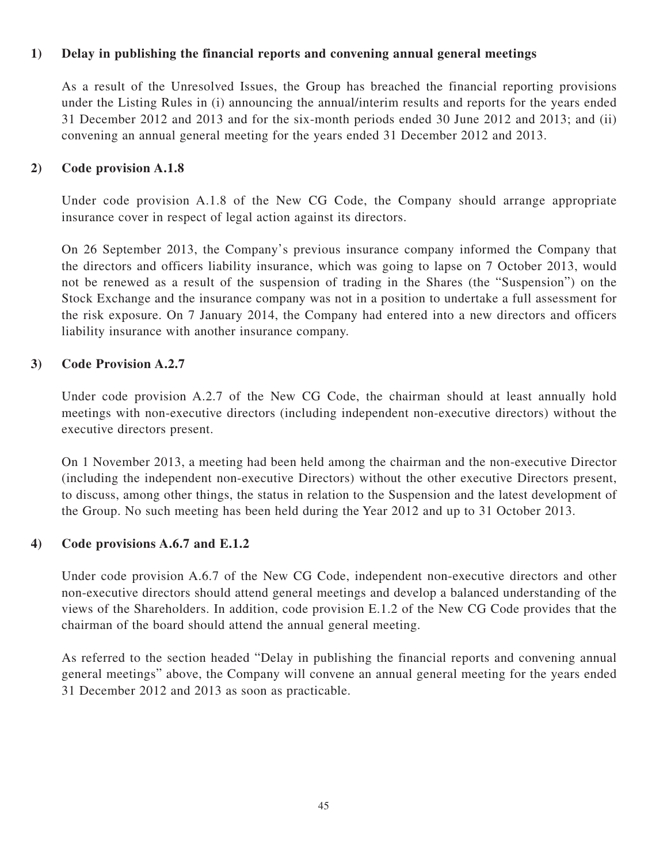## **1) Delay in publishing the financial reports and convening annual general meetings**

As a result of the Unresolved Issues, the Group has breached the financial reporting provisions under the Listing Rules in (i) announcing the annual/interim results and reports for the years ended 31 December 2012 and 2013 and for the six-month periods ended 30 June 2012 and 2013; and (ii) convening an annual general meeting for the years ended 31 December 2012 and 2013.

## **2) Code provision A.1.8**

Under code provision A.1.8 of the New CG Code, the Company should arrange appropriate insurance cover in respect of legal action against its directors.

On 26 September 2013, the Company's previous insurance company informed the Company that the directors and officers liability insurance, which was going to lapse on 7 October 2013, would not be renewed as a result of the suspension of trading in the Shares (the "Suspension") on the Stock Exchange and the insurance company was not in a position to undertake a full assessment for the risk exposure. On 7 January 2014, the Company had entered into a new directors and officers liability insurance with another insurance company.

### **3) Code Provision A.2.7**

Under code provision A.2.7 of the New CG Code, the chairman should at least annually hold meetings with non-executive directors (including independent non-executive directors) without the executive directors present.

On 1 November 2013, a meeting had been held among the chairman and the non-executive Director (including the independent non-executive Directors) without the other executive Directors present, to discuss, among other things, the status in relation to the Suspension and the latest development of the Group. No such meeting has been held during the Year 2012 and up to 31 October 2013.

## **4) Code provisions A.6.7 and E.1.2**

Under code provision A.6.7 of the New CG Code, independent non-executive directors and other non-executive directors should attend general meetings and develop a balanced understanding of the views of the Shareholders. In addition, code provision E.1.2 of the New CG Code provides that the chairman of the board should attend the annual general meeting.

As referred to the section headed "Delay in publishing the financial reports and convening annual general meetings" above, the Company will convene an annual general meeting for the years ended 31 December 2012 and 2013 as soon as practicable.